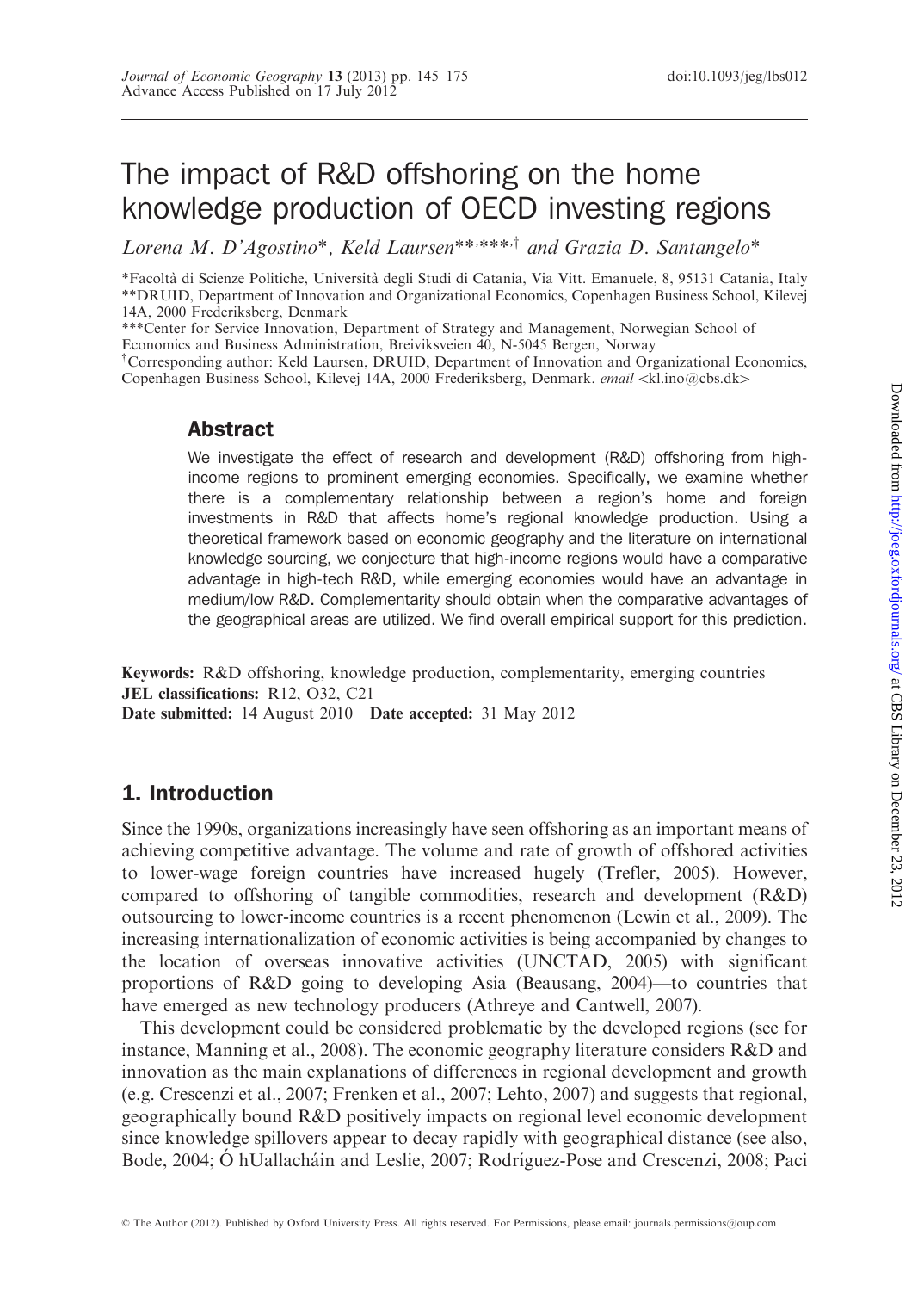Lorena M. D'Agostino\*, Keld Laursen\*\*\*\*\*\*<sup>†</sup> and Grazia D. Santangelo\*

\*Facolta` di Scienze Politiche, Universita` degli Studi di Catania, Via Vitt. Emanuele, 8, 95131 Catania, Italy \*\*DRUID, Department of Innovation and Organizational Economics, Copenhagen Business School, Kilevej 14A, 2000 Frederiksberg, Denmark

\*\*\*Center for Service Innovation, Department of Strategy and Management, Norwegian School of Economics and Business Administration, Breiviksveien 40, N-5045 Bergen, Norway

<sup>†</sup>Corresponding author: Keld Laursen, DRUID, Department of Innovation and Organizational Economics, Copenhagen Business School, Kilevej 14A, 2000 Frederiksberg, Denmark. *email* <kl.ino@cbs.dk>

# **Abstract**

We investigate the effect of research and development (R&D) offshoring from highincome regions to prominent emerging economies. Specifically, we examine whether there is a complementary relationship between a region's home and foreign investments in R&D that affects home's regional knowledge production. Using a theoretical framework based on economic geography and the literature on international knowledge sourcing, we conjecture that high-income regions would have a comparative advantage in high-tech R&D, while emerging economies would have an advantage in medium/low R&D. Complementarity should obtain when the comparative advantages of the geographical areas are utilized. We find overall empirical support for this prediction.

Keywords: R&D offshoring, knowledge production, complementarity, emerging countries JEL classifications: R12, O32, C21 Date submitted: 14 August 2010 Date accepted: 31 May 2012

# 1. Introduction

Since the 1990s, organizations increasingly have seen offshoring as an important means of achieving competitive advantage. The volume and rate of growth of offshored activities to lower-wage foreign countries have increased hugely [\(Trefler, 2005](#page-29-0)). However, compared to offshoring of tangible commodities, research and development (R&D) outsourcing to lower-income countries is a recent phenomenon ([Lewin et al., 2009](#page-27-0)). The increasing internationalization of economic activities is being accompanied by changes to the location of overseas innovative activities ([UNCTAD, 2005](#page-29-0)) with significant proportions of R&D going to developing Asia [\(Beausang, 2004](#page-26-0))—to countries that have emerged as new technology producers ([Athreye and Cantwell, 2007\)](#page-25-0).

This development could be considered problematic by the developed regions (see for instance, [Manning et al., 2008\)](#page-28-0). The economic geography literature considers R&D and innovation as the main explanations of differences in regional development and growth (e.g. [Crescenzi et al., 2007;](#page-26-0) [Frenken et al., 2007](#page-27-0); [Lehto, 2007\)](#page-27-0) and suggests that regional, geographically bound R&D positively impacts on regional level economic development since knowledge spillovers appear to decay rapidly with geographical distance (see also, [Bode, 2004](#page-26-0); Ó hUallacháin and Leslie, 2007; Rodríguez-Pose and Crescenzi, 2008; Paci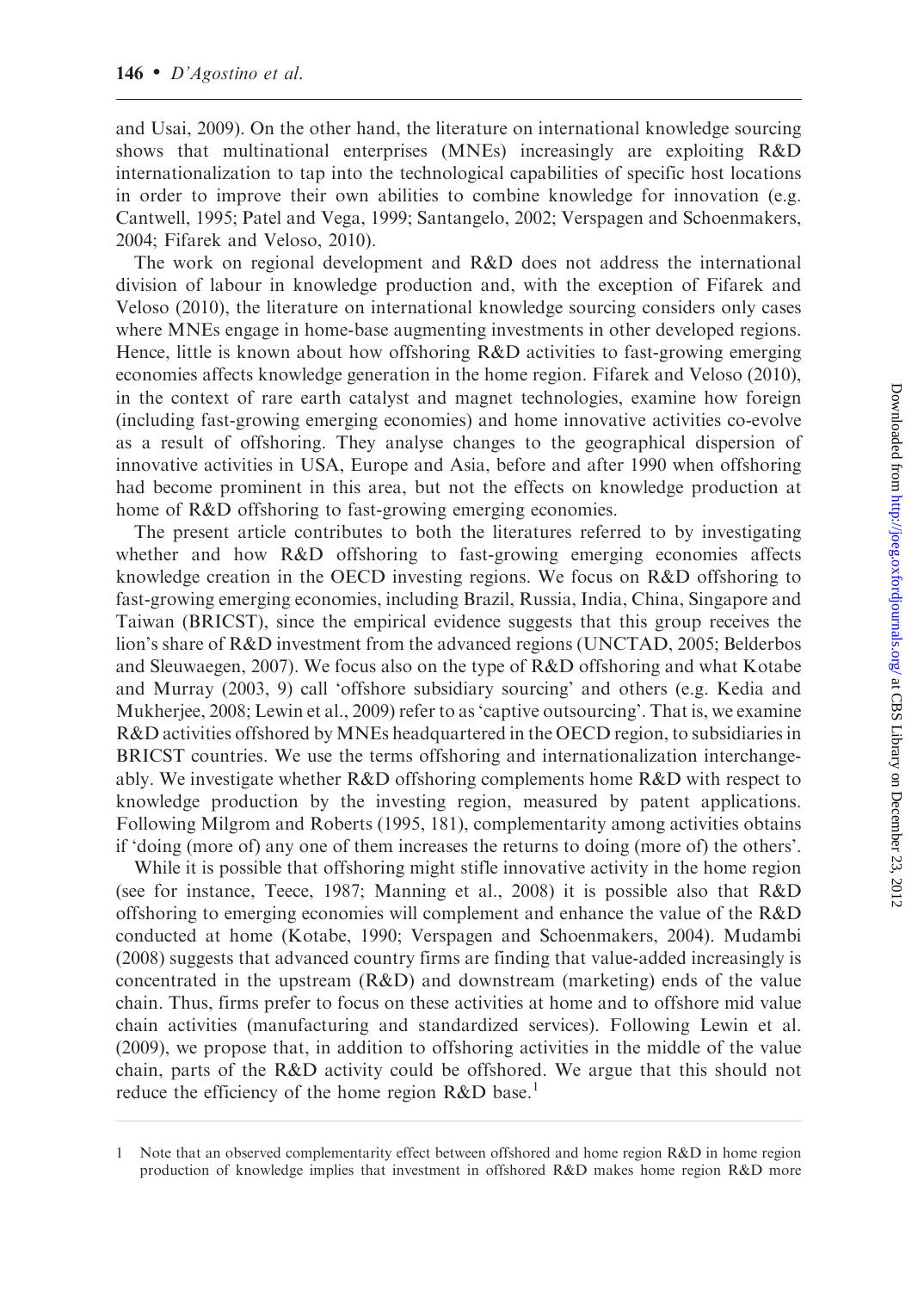[and Usai, 2009](#page-28-0)). On the other hand, the literature on international knowledge sourcing shows that multinational enterprises (MNEs) increasingly are exploiting R&D internationalization to tap into the technological capabilities of specific host locations in order to improve their own abilities to combine knowledge for innovation (e.g. [Cantwell, 1995;](#page-26-0) [Patel and Vega, 1999](#page-28-0); [Santangelo, 2002](#page-28-0); [Verspagen and Schoenmakers,](#page-29-0) [2004](#page-29-0); [Fifarek and Veloso, 2010](#page-27-0)).

The work on regional development and R&D does not address the international division of labour in knowledge production and, with the exception of [Fifarek and](#page-27-0) [Veloso \(2010\)](#page-27-0), the literature on international knowledge sourcing considers only cases where MNEs engage in home-base augmenting investments in other developed regions. Hence, little is known about how offshoring R&D activities to fast-growing emerging economies affects knowledge generation in the home region. [Fifarek and Veloso \(2010\)](#page-27-0), in the context of rare earth catalyst and magnet technologies, examine how foreign (including fast-growing emerging economies) and home innovative activities co-evolve as a result of offshoring. They analyse changes to the geographical dispersion of innovative activities in USA, Europe and Asia, before and after 1990 when offshoring had become prominent in this area, but not the effects on knowledge production at home of R&D offshoring to fast-growing emerging economies.

The present article contributes to both the literatures referred to by investigating whether and how R&D offshoring to fast-growing emerging economies affects knowledge creation in the OECD investing regions. We focus on R&D offshoring to fast-growing emerging economies, including Brazil, Russia, India, China, Singapore and Taiwan (BRICST), since the empirical evidence suggests that this group receives the lion's share of R&D investment from the advanced regions [\(UNCTAD, 2005;](#page-29-0) [Belderbos](#page-26-0) [and Sleuwaegen, 2007\)](#page-26-0). We focus also on the type of R&D offshoring and what Kotabe and Murray [\(2003](#page-27-0), 9) call 'offshore subsidiary sourcing' and others (e.g. [Kedia and](#page-27-0) [Mukherjee, 2008](#page-27-0); [Lewin et al., 2009](#page-27-0)) refer to as 'captive outsourcing'. That is, we examine R&D activities offshored by MNEs headquartered in the OECD region, to subsidiaries in BRICST countries. We use the terms offshoring and internationalization interchangeably. We investigate whether R&D offshoring complements home R&D with respect to knowledge production by the investing region, measured by patent applications. Following Milgrom and Roberts [\(1995](#page-28-0), 181), complementarity among activities obtains if 'doing (more of) any one of them increases the returns to doing (more of) the others'.

While it is possible that offshoring might stifle innovative activity in the home region (see for instance, [Teece, 1987;](#page-29-0) [Manning et al., 2008](#page-28-0)) it is possible also that R&D offshoring to emerging economies will complement and enhance the value of the R&D conducted at home [\(Kotabe, 1990;](#page-27-0) [Verspagen and Schoenmakers, 2004](#page-29-0)). [Mudambi](#page-28-0) [\(2008\)](#page-28-0) suggests that advanced country firms are finding that value-added increasingly is concentrated in the upstream (R&D) and downstream (marketing) ends of the value chain. Thus, firms prefer to focus on these activities at home and to offshore mid value chain activities (manufacturing and standardized services). Following [Lewin et al.](#page-27-0) [\(2009\)](#page-27-0), we propose that, in addition to offshoring activities in the middle of the value chain, parts of the R&D activity could be offshored. We argue that this should not reduce the efficiency of the home region  $R&D$  base.<sup>1</sup>

<sup>1</sup> Note that an observed complementarity effect between offshored and home region R&D in home region production of knowledge implies that investment in offshored R&D makes home region R&D more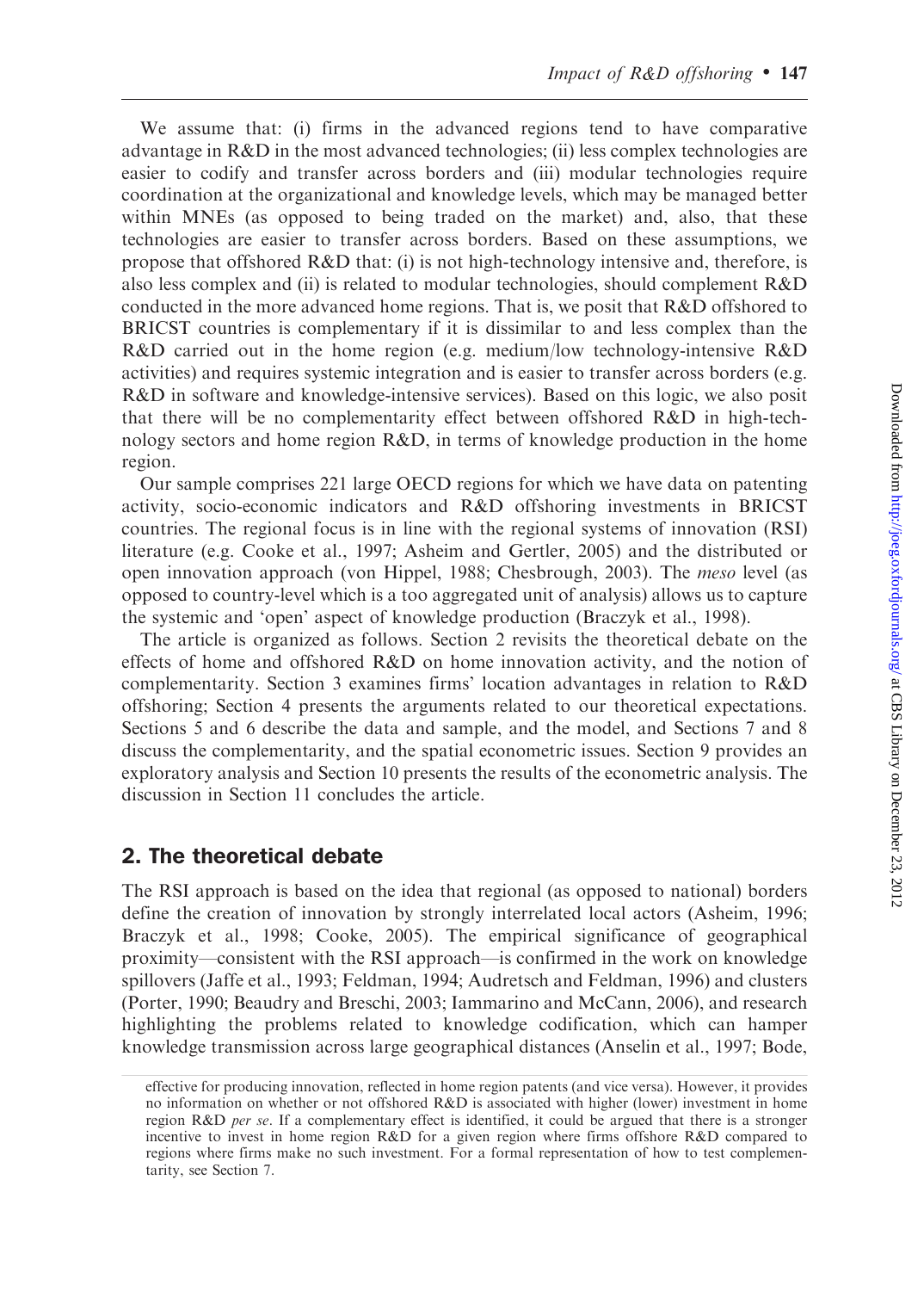We assume that: (i) firms in the advanced regions tend to have comparative advantage in R&D in the most advanced technologies; (ii) less complex technologies are easier to codify and transfer across borders and (iii) modular technologies require coordination at the organizational and knowledge levels, which may be managed better within MNEs (as opposed to being traded on the market) and, also, that these technologies are easier to transfer across borders. Based on these assumptions, we propose that offshored R&D that: (i) is not high-technology intensive and, therefore, is also less complex and (ii) is related to modular technologies, should complement R&D conducted in the more advanced home regions. That is, we posit that R&D offshored to BRICST countries is complementary if it is dissimilar to and less complex than the R&D carried out in the home region (e.g. medium/low technology-intensive R&D activities) and requires systemic integration and is easier to transfer across borders (e.g. R&D in software and knowledge-intensive services). Based on this logic, we also posit that there will be no complementarity effect between offshored R&D in high-technology sectors and home region R&D, in terms of knowledge production in the home region.

Our sample comprises 221 large OECD regions for which we have data on patenting activity, socio-economic indicators and R&D offshoring investments in BRICST countries. The regional focus is in line with the regional systems of innovation (RSI) literature (e.g. [Cooke et al., 1997;](#page-26-0) [Asheim and Gertler, 2005](#page-25-0)) and the distributed or open innovation approach [\(von Hippel, 1988](#page-29-0); [Chesbrough, 2003\)](#page-26-0). The meso level (as opposed to country-level which is a too aggregated unit of analysis) allows us to capture the systemic and 'open' aspect of knowledge production ([Braczyk et al., 1998\)](#page-26-0).

The article is organized as follows. Section 2 revisits the theoretical debate on the effects of home and offshored R&D on home innovation activity, and the notion of complementarity. Section 3 examines firms' location advantages in relation to R&D offshoring; Section 4 presents the arguments related to our theoretical expectations. Sections 5 and 6 describe the data and sample, and the model, and Sections 7 and 8 discuss the complementarity, and the spatial econometric issues. Section 9 provides an exploratory analysis and Section 10 presents the results of the econometric analysis. The discussion in Section 11 concludes the article.

# 2. The theoretical debate

The RSI approach is based on the idea that regional (as opposed to national) borders define the creation of innovation by strongly interrelated local actors ([Asheim, 1996;](#page-25-0) [Braczyk et al., 1998](#page-26-0); [Cooke, 2005](#page-26-0)). The empirical significance of geographical proximity—consistent with the RSI approach—is confirmed in the work on knowledge spillovers [\(Jaffe et al., 1993;](#page-27-0) [Feldman, 1994;](#page-26-0) [Audretsch and Feldman, 1996](#page-25-0)) and clusters [\(Porter, 1990;](#page-28-0) [Beaudry and Breschi, 2003;](#page-26-0) [Iammarino and McCann, 2006\)](#page-27-0), and research highlighting the problems related to knowledge codification, which can hamper knowledge transmission across large geographical distances ([Anselin et al., 1997](#page-25-0); [Bode,](#page-26-0)

effective for producing innovation, reflected in home region patents (and vice versa). However, it provides no information on whether or not offshored R&D is associated with higher (lower) investment in home region R&D per se. If a complementary effect is identified, it could be argued that there is a stronger incentive to invest in home region R&D for a given region where firms offshore R&D compared to regions where firms make no such investment. For a formal representation of how to test complementarity, see Section 7.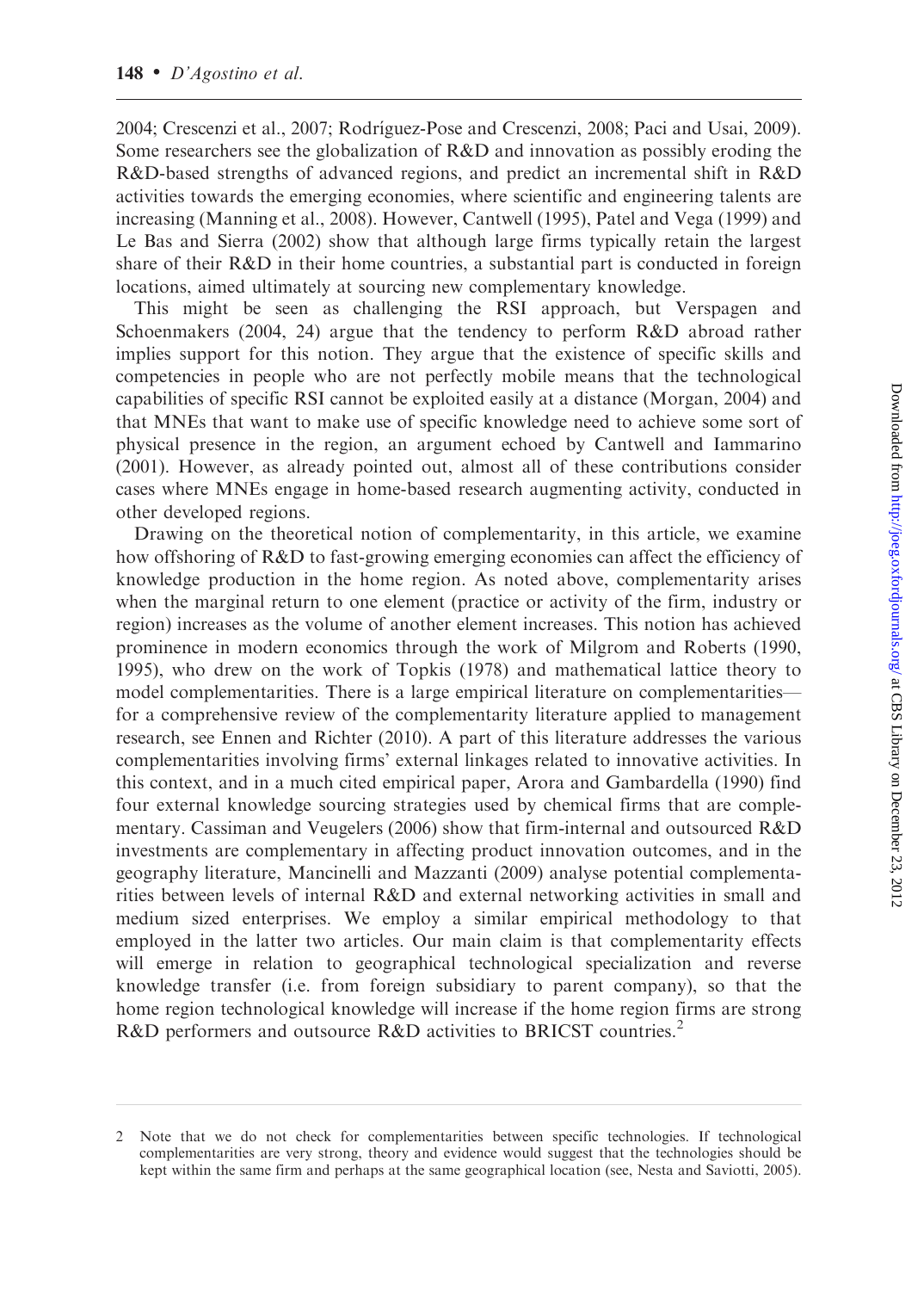[2004](#page-26-0); [Crescenzi et al., 2007](#page-26-0); Rodríguez-Pose and Crescenzi, 2008; [Paci and Usai, 2009](#page-28-0)). Some researchers see the globalization of R&D and innovation as possibly eroding the R&D-based strengths of advanced regions, and predict an incremental shift in R&D activities towards the emerging economies, where scientific and engineering talents are increasing [\(Manning et al., 2008](#page-28-0)). However, [Cantwell \(1995\),](#page-26-0) [Patel and Vega \(1999\)](#page-28-0) and [Le Bas and Sierra \(2002\)](#page-27-0) show that although large firms typically retain the largest share of their R&D in their home countries, a substantial part is conducted in foreign locations, aimed ultimately at sourcing new complementary knowledge.

This might be seen as challenging the RSI approach, but Verspagen and Schoenmakers [\(2004](#page-29-0), 24) argue that the tendency to perform R&D abroad rather implies support for this notion. They argue that the existence of specific skills and competencies in people who are not perfectly mobile means that the technological capabilities of specific RSI cannot be exploited easily at a distance ([Morgan, 2004\)](#page-28-0) and that MNEs that want to make use of specific knowledge need to achieve some sort of physical presence in the region, an argument echoed by [Cantwell and Iammarino](#page-26-0) [\(2001\)](#page-26-0). However, as already pointed out, almost all of these contributions consider cases where MNEs engage in home-based research augmenting activity, conducted in other developed regions.

Drawing on the theoretical notion of complementarity, in this article, we examine how offshoring of R&D to fast-growing emerging economies can affect the efficiency of knowledge production in the home region. As noted above, complementarity arises when the marginal return to one element (practice or activity of the firm, industry or region) increases as the volume of another element increases. This notion has achieved prominence in modern economics through the work of Milgrom and Roberts ([1990](#page-28-0), [1995](#page-28-0)), who drew on the work of [Topkis \(1978\)](#page-29-0) and mathematical lattice theory to model complementarities. There is a large empirical literature on complementarities for a comprehensive review of the complementarity literature applied to management research, see [Ennen and Richter \(2010\)](#page-26-0). A part of this literature addresses the various complementarities involving firms' external linkages related to innovative activities. In this context, and in a much cited empirical paper, [Arora and Gambardella \(1990\)](#page-25-0) find four external knowledge sourcing strategies used by chemical firms that are complementary. [Cassiman and Veugelers \(2006\)](#page-26-0) show that firm-internal and outsourced R&D investments are complementary in affecting product innovation outcomes, and in the geography literature, [Mancinelli and Mazzanti \(2009\)](#page-27-0) analyse potential complementarities between levels of internal R&D and external networking activities in small and medium sized enterprises. We employ a similar empirical methodology to that employed in the latter two articles. Our main claim is that complementarity effects will emerge in relation to geographical technological specialization and reverse knowledge transfer (i.e. from foreign subsidiary to parent company), so that the home region technological knowledge will increase if the home region firms are strong R&D performers and outsource R&D activities to BRICST countries.<sup>2</sup>

<sup>2</sup> Note that we do not check for complementarities between specific technologies. If technological complementarities are very strong, theory and evidence would suggest that the technologies should be kept within the same firm and perhaps at the same geographical location (see, [Nesta and Saviotti, 2005](#page-28-0)).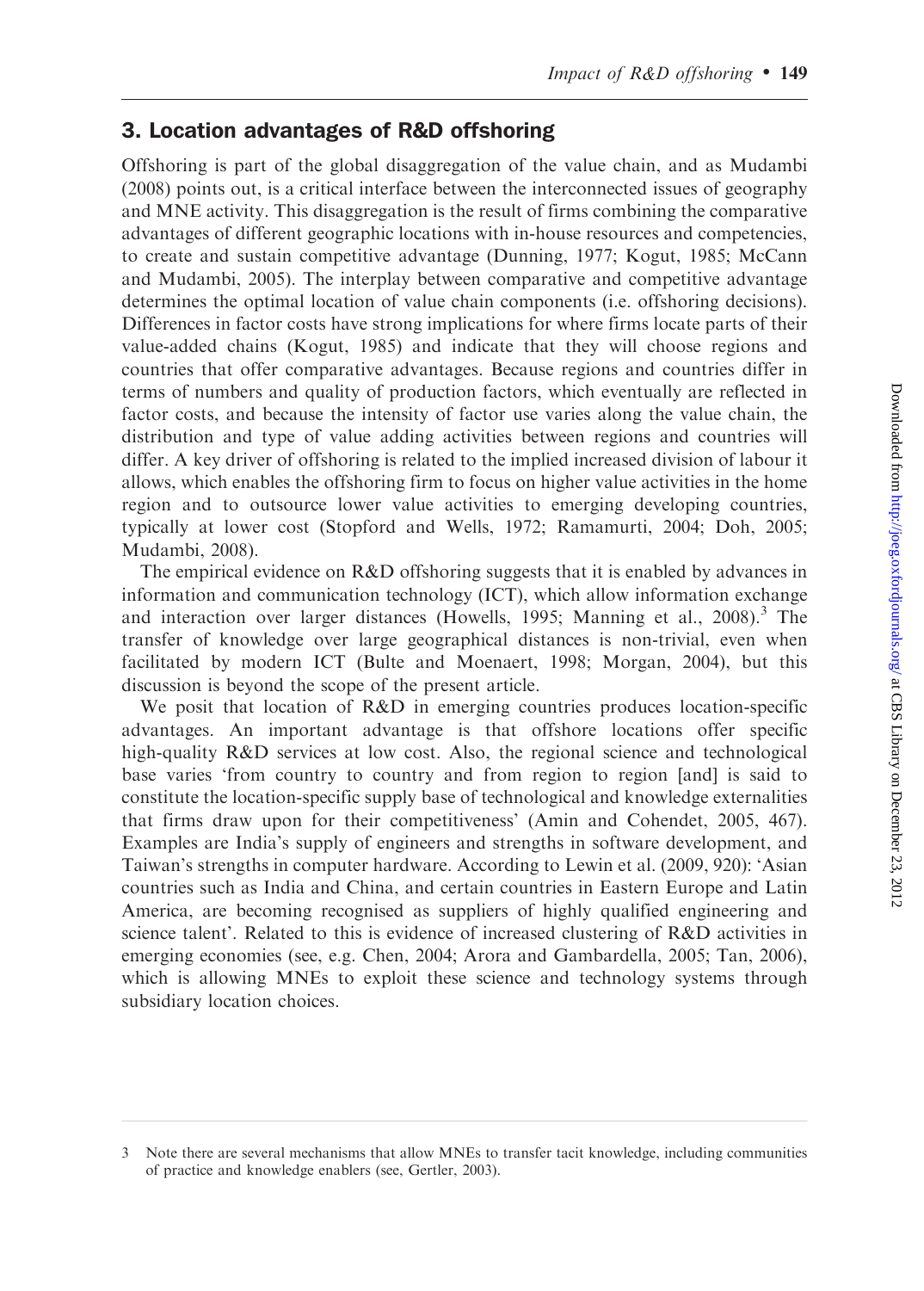### 3. Location advantages of R&D offshoring

Offshoring is part of the global disaggregation of the value chain, and as [Mudambi](#page-28-0) [\(2008\)](#page-28-0) points out, is a critical interface between the interconnected issues of geography and MNE activity. This disaggregation is the result of firms combining the comparative advantages of different geographic locations with in-house resources and competencies, to create and sustain competitive advantage [\(Dunning, 1977](#page-26-0); [Kogut, 1985](#page-27-0); [McCann](#page-28-0) [and Mudambi, 2005](#page-28-0)). The interplay between comparative and competitive advantage determines the optimal location of value chain components (i.e. offshoring decisions). Differences in factor costs have strong implications for where firms locate parts of their value-added chains [\(Kogut, 1985](#page-27-0)) and indicate that they will choose regions and countries that offer comparative advantages. Because regions and countries differ in terms of numbers and quality of production factors, which eventually are reflected in factor costs, and because the intensity of factor use varies along the value chain, the distribution and type of value adding activities between regions and countries will differ. A key driver of offshoring is related to the implied increased division of labour it allows, which enables the offshoring firm to focus on higher value activities in the home region and to outsource lower value activities to emerging developing countries, typically at lower cost [\(Stopford and Wells, 1972;](#page-29-0) [Ramamurti, 2004](#page-28-0); [Doh, 2005;](#page-26-0) [Mudambi, 2008\)](#page-28-0).

The empirical evidence on R&D offshoring suggests that it is enabled by advances in information and communication technology (ICT), which allow information exchange and interaction over larger distances [\(Howells, 1995](#page-27-0); [Manning et al., 2008\)](#page-28-0).<sup>3</sup> The transfer of knowledge over large geographical distances is non-trivial, even when facilitated by modern ICT [\(Bulte and Moenaert, 1998;](#page-26-0) [Morgan, 2004\)](#page-28-0), but this discussion is beyond the scope of the present article.

We posit that location of R&D in emerging countries produces location-specific advantages. An important advantage is that offshore locations offer specific high-quality R&D services at low cost. Also, the regional science and technological base varies 'from country to country and from region to region [and] is said to constitute the location-specific supply base of technological and knowledge externalities that firms draw upon for their competitiveness' ([Amin and Cohendet, 2005,](#page-25-0) 467). Examples are India's supply of engineers and strengths in software development, and Taiwan's strengths in computer hardware. According to Lewin et al. [\(2009](#page-27-0), 920): 'Asian countries such as India and China, and certain countries in Eastern Europe and Latin America, are becoming recognised as suppliers of highly qualified engineering and science talent'. Related to this is evidence of increased clustering of R&D activities in emerging economies (see, e.g. [Chen, 2004](#page-26-0); [Arora and Gambardella, 2005](#page-25-0); [Tan, 2006](#page-29-0)), which is allowing MNEs to exploit these science and technology systems through subsidiary location choices.

<sup>3</sup> Note there are several mechanisms that allow MNEs to transfer tacit knowledge, including communities of practice and knowledge enablers (see, [Gertler, 2003\)](#page-27-0).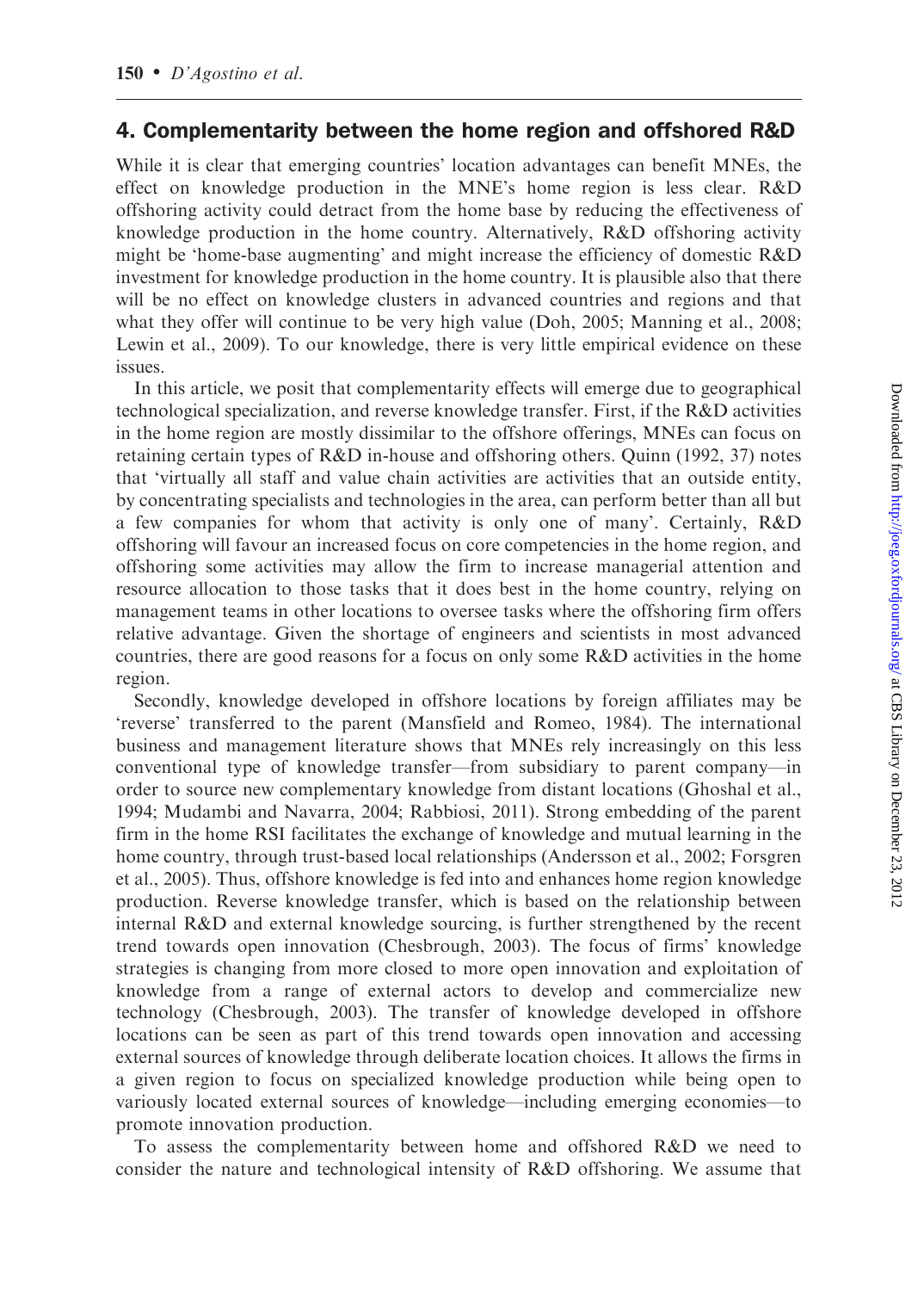#### 4. Complementarity between the home region and offshored R&D

While it is clear that emerging countries' location advantages can benefit MNEs, the effect on knowledge production in the MNE's home region is less clear. R&D offshoring activity could detract from the home base by reducing the effectiveness of knowledge production in the home country. Alternatively, R&D offshoring activity might be 'home-base augmenting' and might increase the efficiency of domestic R&D investment for knowledge production in the home country. It is plausible also that there will be no effect on knowledge clusters in advanced countries and regions and that what they offer will continue to be very high value [\(Doh, 2005](#page-26-0); [Manning et al., 2008](#page-28-0); [Lewin et al., 2009](#page-27-0)). To our knowledge, there is very little empirical evidence on these issues.

In this article, we posit that complementarity effects will emerge due to geographical technological specialization, and reverse knowledge transfer. First, if the R&D activities in the home region are mostly dissimilar to the offshore offerings, MNEs can focus on retaining certain types of R&D in-house and offshoring others. Quinn ([1992,](#page-28-0) 37) notes that 'virtually all staff and value chain activities are activities that an outside entity, by concentrating specialists and technologies in the area, can perform better than all but a few companies for whom that activity is only one of many'. Certainly, R&D offshoring will favour an increased focus on core competencies in the home region, and offshoring some activities may allow the firm to increase managerial attention and resource allocation to those tasks that it does best in the home country, relying on management teams in other locations to oversee tasks where the offshoring firm offers relative advantage. Given the shortage of engineers and scientists in most advanced countries, there are good reasons for a focus on only some R&D activities in the home region.

Secondly, knowledge developed in offshore locations by foreign affiliates may be 'reverse' transferred to the parent [\(Mansfield and Romeo, 1984\)](#page-28-0). The international business and management literature shows that MNEs rely increasingly on this less conventional type of knowledge transfer—from subsidiary to parent company—in order to source new complementary knowledge from distant locations ([Ghoshal et al.,](#page-27-0) [1994](#page-27-0); [Mudambi and Navarra, 2004](#page-28-0); [Rabbiosi, 2011\)](#page-28-0). Strong embedding of the parent firm in the home RSI facilitates the exchange of knowledge and mutual learning in the home country, through trust-based local relationships ([Andersson et al., 2002](#page-25-0); [Forsgren](#page-27-0) [et al., 2005](#page-27-0)). Thus, offshore knowledge is fed into and enhances home region knowledge production. Reverse knowledge transfer, which is based on the relationship between internal R&D and external knowledge sourcing, is further strengthened by the recent trend towards open innovation ([Chesbrough, 2003\)](#page-26-0). The focus of firms' knowledge strategies is changing from more closed to more open innovation and exploitation of knowledge from a range of external actors to develop and commercialize new technology [\(Chesbrough, 2003](#page-26-0)). The transfer of knowledge developed in offshore locations can be seen as part of this trend towards open innovation and accessing external sources of knowledge through deliberate location choices. It allows the firms in a given region to focus on specialized knowledge production while being open to variously located external sources of knowledge—including emerging economies—to promote innovation production.

To assess the complementarity between home and offshored R&D we need to consider the nature and technological intensity of R&D offshoring. We assume that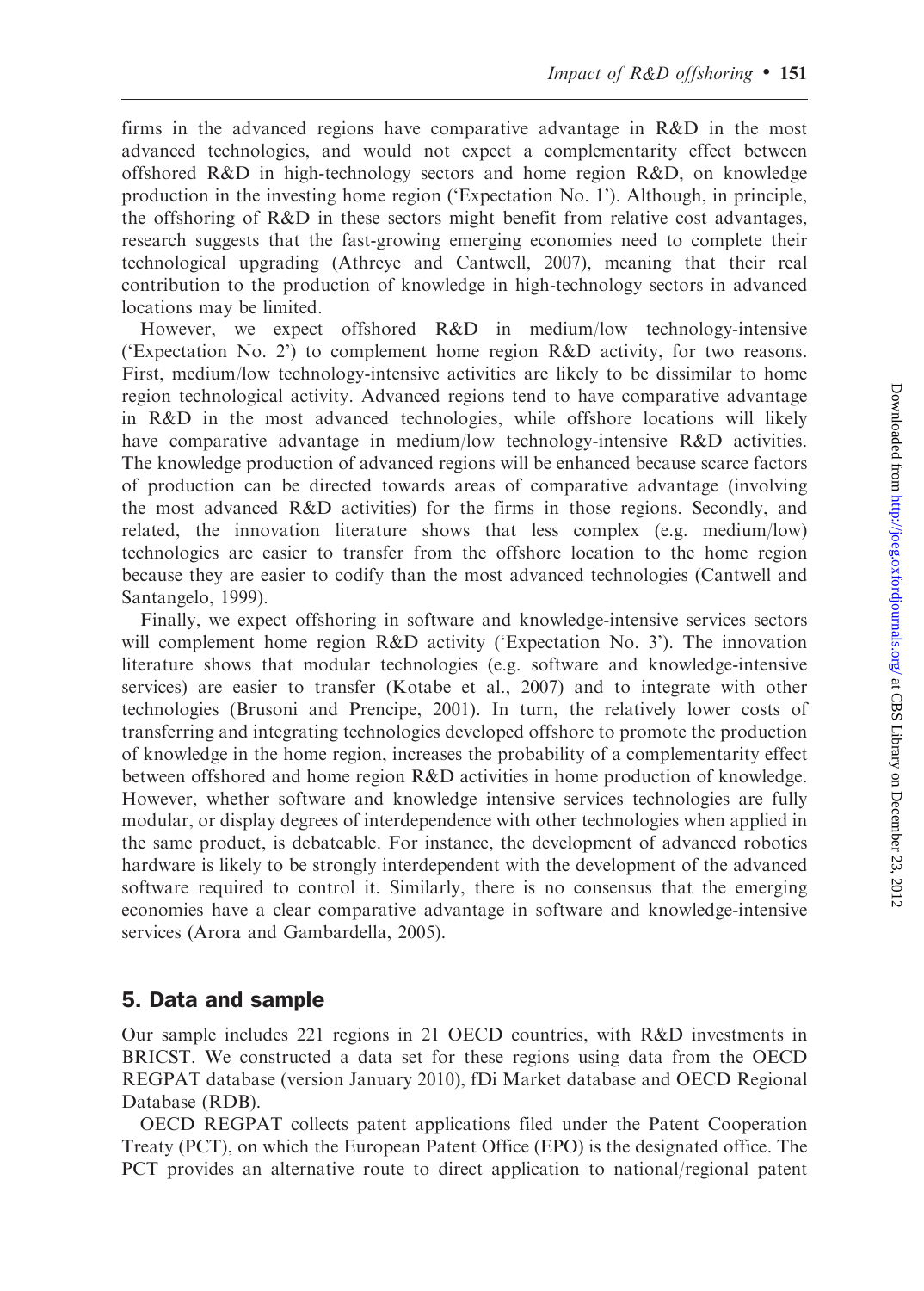firms in the advanced regions have comparative advantage in R&D in the most advanced technologies, and would not expect a complementarity effect between offshored R&D in high-technology sectors and home region R&D, on knowledge production in the investing home region ('Expectation No. 1'). Although, in principle, the offshoring of R&D in these sectors might benefit from relative cost advantages, research suggests that the fast-growing emerging economies need to complete their technological upgrading ([Athreye and Cantwell, 2007\)](#page-25-0), meaning that their real contribution to the production of knowledge in high-technology sectors in advanced locations may be limited.

However, we expect offshored R&D in medium/low technology-intensive ('Expectation No. 2') to complement home region R&D activity, for two reasons. First, medium/low technology-intensive activities are likely to be dissimilar to home region technological activity. Advanced regions tend to have comparative advantage in R&D in the most advanced technologies, while offshore locations will likely have comparative advantage in medium/low technology-intensive R&D activities. The knowledge production of advanced regions will be enhanced because scarce factors of production can be directed towards areas of comparative advantage (involving the most advanced R&D activities) for the firms in those regions. Secondly, and related, the innovation literature shows that less complex (e.g. medium/low) technologies are easier to transfer from the offshore location to the home region because they are easier to codify than the most advanced technologies ([Cantwell and](#page-26-0) [Santangelo, 1999](#page-26-0)).

Finally, we expect offshoring in software and knowledge-intensive services sectors will complement home region R&D activity ('Expectation No. 3'). The innovation literature shows that modular technologies (e.g. software and knowledge-intensive services) are easier to transfer ([Kotabe et al., 2007](#page-27-0)) and to integrate with other technologies ([Brusoni and Prencipe, 2001\)](#page-26-0). In turn, the relatively lower costs of transferring and integrating technologies developed offshore to promote the production of knowledge in the home region, increases the probability of a complementarity effect between offshored and home region R&D activities in home production of knowledge. However, whether software and knowledge intensive services technologies are fully modular, or display degrees of interdependence with other technologies when applied in the same product, is debateable. For instance, the development of advanced robotics hardware is likely to be strongly interdependent with the development of the advanced software required to control it. Similarly, there is no consensus that the emerging economies have a clear comparative advantage in software and knowledge-intensive services ([Arora and Gambardella, 2005](#page-25-0)).

# 5. Data and sample

Our sample includes 221 regions in 21 OECD countries, with R&D investments in BRICST. We constructed a data set for these regions using data from the OECD REGPAT database (version January 2010), fDi Market database and OECD Regional Database (RDB).

OECD REGPAT collects patent applications filed under the Patent Cooperation Treaty (PCT), on which the European Patent Office (EPO) is the designated office. The PCT provides an alternative route to direct application to national/regional patent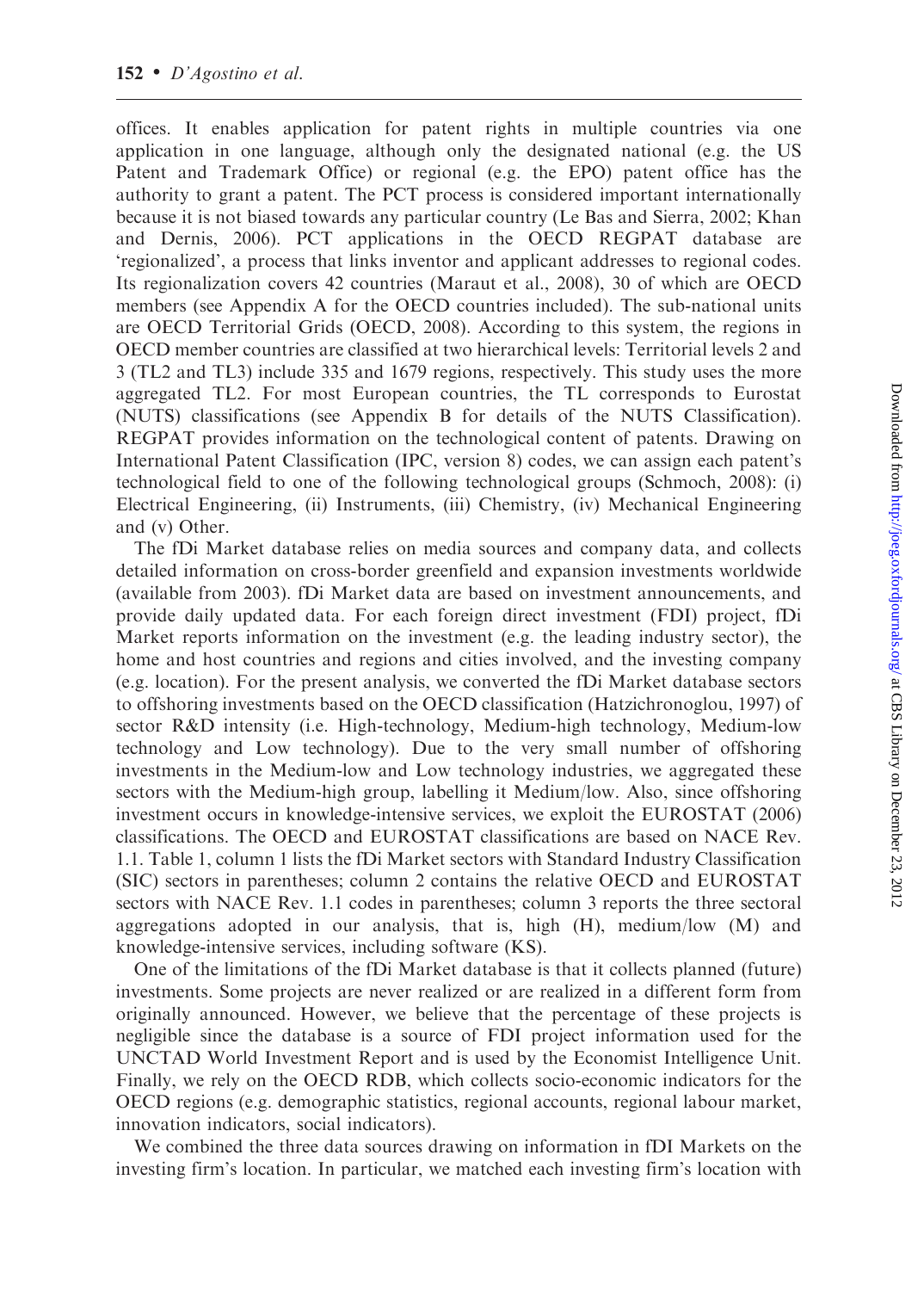offices. It enables application for patent rights in multiple countries via one application in one language, although only the designated national (e.g. the US Patent and Trademark Office) or regional (e.g. the EPO) patent office has the authority to grant a patent. The PCT process is considered important internationally because it is not biased towards any particular country ([Le Bas and Sierra, 2002](#page-27-0); [Khan](#page-27-0) [and Dernis, 2006\)](#page-27-0). PCT applications in the OECD REGPAT database are 'regionalized', a process that links inventor and applicant addresses to regional codes. Its regionalization covers 42 countries ([Maraut et al., 2008\)](#page-28-0), 30 of which are OECD members (see Appendix A for the OECD countries included). The sub-national units are OECD Territorial Grids [\(OECD, 2008\)](#page-28-0). According to this system, the regions in OECD member countries are classified at two hierarchical levels: Territorial levels 2 and 3 (TL2 and TL3) include 335 and 1679 regions, respectively. This study uses the more aggregated TL2. For most European countries, the TL corresponds to Eurostat (NUTS) classifications (see Appendix B for details of the NUTS Classification). REGPAT provides information on the technological content of patents. Drawing on International Patent Classification (IPC, version 8) codes, we can assign each patent's technological field to one of the following technological groups [\(Schmoch, 2008\)](#page-28-0): (i) Electrical Engineering, (ii) Instruments, (iii) Chemistry, (iv) Mechanical Engineering and (v) Other.

The fDi Market database relies on media sources and company data, and collects detailed information on cross-border greenfield and expansion investments worldwide (available from 2003). fDi Market data are based on investment announcements, and provide daily updated data. For each foreign direct investment (FDI) project, fDi Market reports information on the investment (e.g. the leading industry sector), the home and host countries and regions and cities involved, and the investing company (e.g. location). For the present analysis, we converted the fDi Market database sectors to offshoring investments based on the OECD classification [\(Hatzichronoglou, 1997\)](#page-27-0) of sector R&D intensity (i.e. High-technology, Medium-high technology, Medium-low technology and Low technology). Due to the very small number of offshoring investments in the Medium-low and Low technology industries, we aggregated these sectors with the Medium-high group, labelling it Medium/low. Also, since offshoring investment occurs in knowledge-intensive services, we exploit the [EUROSTAT \(2006\)](#page-26-0) classifications. The OECD and EUROSTAT classifications are based on NACE Rev. 1.1. [Table 1,](#page-8-0) column 1 lists the fDi Market sectors with Standard Industry Classification (SIC) sectors in parentheses; column 2 contains the relative OECD and EUROSTAT sectors with NACE Rev. 1.1 codes in parentheses; column 3 reports the three sectoral aggregations adopted in our analysis, that is, high  $(H)$ , medium/low  $(M)$  and knowledge-intensive services, including software (KS).

One of the limitations of the fDi Market database is that it collects planned (future) investments. Some projects are never realized or are realized in a different form from originally announced. However, we believe that the percentage of these projects is negligible since the database is a source of FDI project information used for the UNCTAD World Investment Report and is used by the Economist Intelligence Unit. Finally, we rely on the OECD RDB, which collects socio-economic indicators for the OECD regions (e.g. demographic statistics, regional accounts, regional labour market, innovation indicators, social indicators).

We combined the three data sources drawing on information in fDI Markets on the investing firm's location. In particular, we matched each investing firm's location with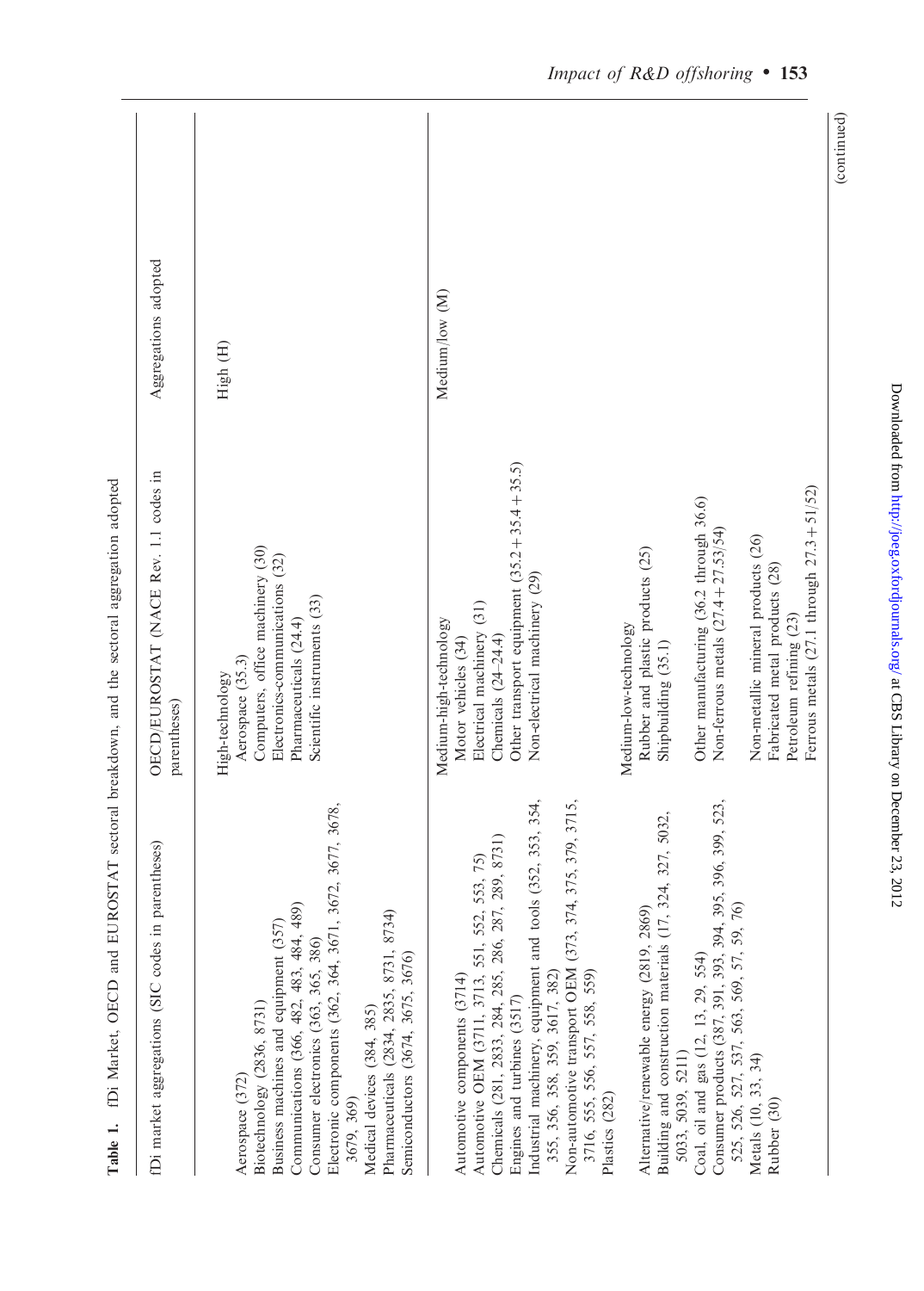<span id="page-8-0"></span>

| fDi Market, OECD and EUROSTAT sectoral breakdown, and the sectoral aggregation adopted<br>Table 1.                                                                                                                                                                                                                                                                                                |                                                                                                                                                                                        |                      |
|---------------------------------------------------------------------------------------------------------------------------------------------------------------------------------------------------------------------------------------------------------------------------------------------------------------------------------------------------------------------------------------------------|----------------------------------------------------------------------------------------------------------------------------------------------------------------------------------------|----------------------|
| in parentheses)<br>Di market aggregations (SIC codes                                                                                                                                                                                                                                                                                                                                              | OECD/EUROSTAT (NACE Rev. 1.1 codes in<br>parentheses)                                                                                                                                  | Aggregations adopted |
| Communications (366, 482, 483, 484, 489)<br>Consumer electronics (363, 365, 386)<br>Electronic components (362, 364, 3671, 3672, 3677, 3678,<br>489)<br>Pharmaceuticals (2834, 2835, 8731, 8734)<br>Business machines and equipment (357)<br>Semiconductors (3674, 3675, 3676)<br>Biotechnology (2836, 8731)<br>Medical devices (384, 385)<br>Aerospace (372)<br>3679, 369)                       | Computers, office machinery (30)<br>Electronics-communications (32)<br>Scientific instruments (33)<br>Pharmaceuticals (24.4)<br>Aerospace (35.3)<br>High-technology                    | High (H)             |
| tools (352, 353, 354,<br>Non-automotive transport OEM (373, 374, 375, 379, 3715,<br>$552, 553, 75$<br>$, 287, 289, 8731)$<br>Industrial machinery, equipment and<br>Chemicals (281, 2833, 284, 285, 286,<br>Automotive OEM (3711, 3713, 551,<br>355, 356, 358, 359, 3617, 382)<br>3716, 555, 556, 557, 558, 559)<br>Automotive components (3714)<br>Engines and turbines (3517)<br>Plastics (282) | Other transport equipment $(35.2 + 35.4 + 35.5)$<br>Non-electrical machinery (29)<br>Electrical machinery (31)<br>Medium-high-technology<br>Chemicals (24-24.4)<br>Motor vehicles (34) | Medium/low (M)       |
| (17, 324, 327, 5032,<br>2869)<br>Building and construction materials (5033, 5039, 5211)<br>Alternative/renewable energy (2819,                                                                                                                                                                                                                                                                    | Rubber and plastic products (25)<br>Medium-low-technology<br>Shipbuilding (35.1)                                                                                                       |                      |
| Consumer products (387, 391, 393, 394, 395, 396, 399, 523,<br>525, 526, 527, 537, 563, 569, 57, 59, 76)<br>Coal, oil and gas (12, 13, 29, 554)                                                                                                                                                                                                                                                    | Other manufacturing (36.2 through 36.6)<br>Non-ferrous metals $(27.4 + 27.53/54)$                                                                                                      |                      |
| Metals (10, 33, 34)<br>Rubber (30)                                                                                                                                                                                                                                                                                                                                                                | Ferrous metals $(27.1 \text{ through } 27.3 + 51/52)$<br>Non-metallic mineral products (26)<br>Fabricated metal products (28)<br>Petroleum refining (23)                               |                      |

 $\ddot{\cdot}$ þ J.  $\overline{a}$  (continued)

 $(continued)$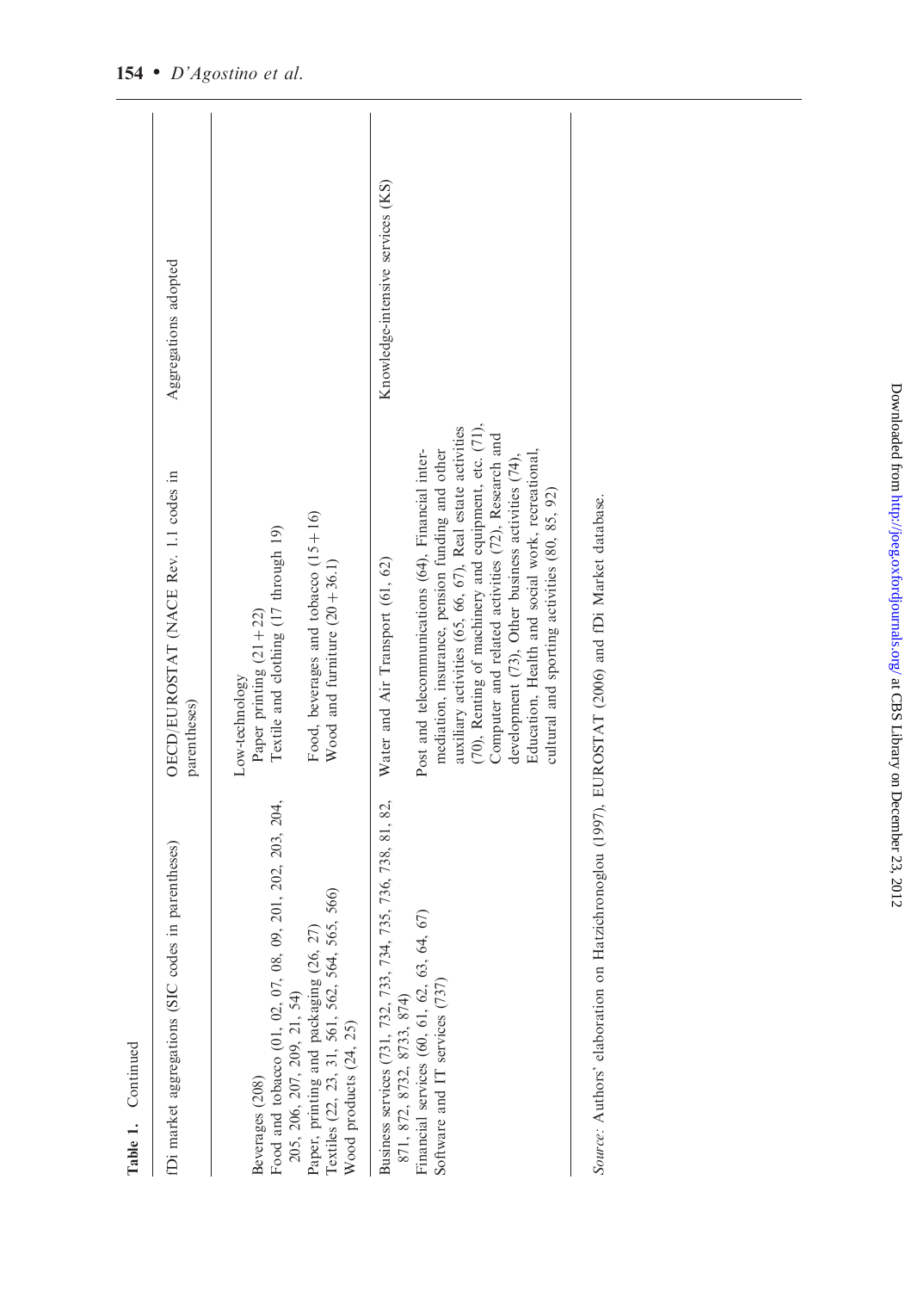| Continued<br>Table 1.                                                                                                                                                                                                             |                                                                                                                                                                                                                                                                                                                                                                                                                                                                               |                                   |
|-----------------------------------------------------------------------------------------------------------------------------------------------------------------------------------------------------------------------------------|-------------------------------------------------------------------------------------------------------------------------------------------------------------------------------------------------------------------------------------------------------------------------------------------------------------------------------------------------------------------------------------------------------------------------------------------------------------------------------|-----------------------------------|
| in parentheses)<br>fDi market aggregations (SIC codes                                                                                                                                                                             | OECD/EUROSTAT (NACE Rev. 1.1 codes in<br>parentheses)                                                                                                                                                                                                                                                                                                                                                                                                                         | Aggregations adopted              |
| Food and tobacco (01, 02, 07, 08, 09, 201, 202, 203, 204,<br>Paper, printing and packaging (26, 27)<br>Textiles (22, 23, 31, 561, 562, 564, 565, 566)<br>205, 206, 207, 209, 21, 54)<br>Wood products (24, 25)<br>Beverages (208) | Food, beverages and tobacco (15+16)<br>Textile and clothing (17 through 19)<br>Wood and furniture $(20 + 36.1)$<br>Paper printing $(21 + 22)$<br>Low-technology                                                                                                                                                                                                                                                                                                               |                                   |
| 735, 736, 738, 81, 82,<br>67)<br>Financial services (60, 61, 62, 63, 64,<br>Business services (731, 732, 733, 734, 871, 872, 8732, 8733, 874)<br>Software and IT services (737)                                                   | (70), Renting of machinery and equipment, etc. (71),<br>auxiliary activities (65, 66, 67), Real estate activities<br>Computer and related activities (72), Research and<br>mediation, insurance, pension funding and other<br>Education, Health and social work, recreational,<br>Post and telecommunications (64), Financial inter-<br>development (73), Other business activities (74)<br>cultural and sporting activities (80, 85, 92)<br>Water and Air Transport (61, 62) | Knowledge-intensive services (KS) |
| Source: Authors' elaboration on Hatzichronoglou (1997), EUROSTAT (2006) and IDi Market database.                                                                                                                                  |                                                                                                                                                                                                                                                                                                                                                                                                                                                                               |                                   |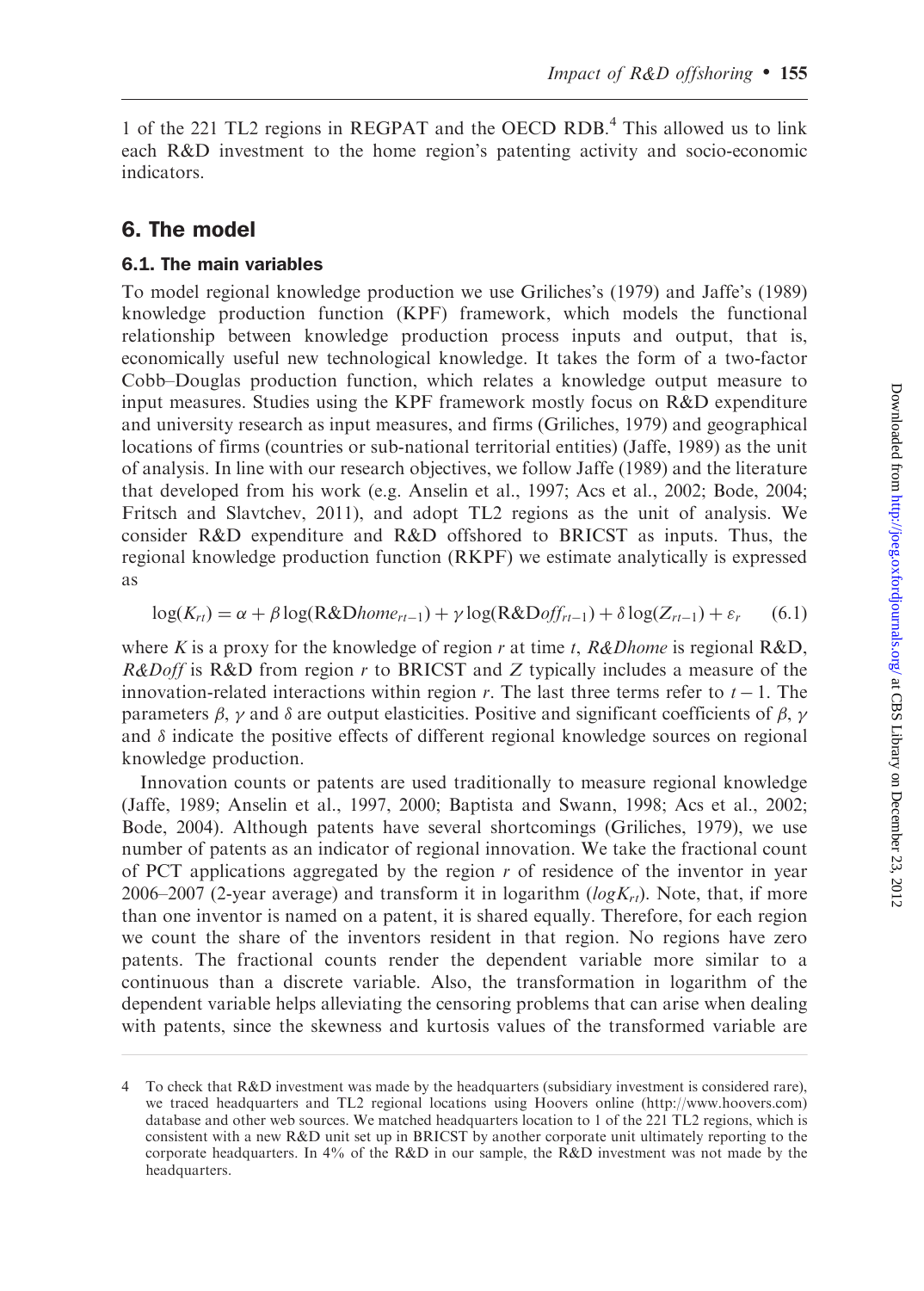1 of the 221 TL2 regions in REGPAT and the OECD RDB.<sup>4</sup> This allowed us to link each R&D investment to the home region's patenting activity and socio-economic indicators.

# 6. The model

# 6.1. The main variables

To model regional knowledge production we use [Griliches's \(1979\)](#page-27-0) and [Jaffe's \(1989\)](#page-27-0) knowledge production function (KPF) framework, which models the functional relationship between knowledge production process inputs and output, that is, economically useful new technological knowledge. It takes the form of a two-factor Cobb–Douglas production function, which relates a knowledge output measure to input measures. Studies using the KPF framework mostly focus on R&D expenditure and university research as input measures, and firms ([Griliches, 1979](#page-27-0)) and geographical locations of firms (countries or sub-national territorial entities) ([Jaffe, 1989\)](#page-27-0) as the unit of analysis. In line with our research objectives, we follow [Jaffe \(1989\)](#page-27-0) and the literature that developed from his work (e.g. [Anselin et al., 1997; Acs et al., 2002;](#page-25-0) [Bode, 2004;](#page-26-0) [Fritsch and Slavtchev, 2011\)](#page-27-0), and adopt TL2 regions as the unit of analysis. We consider R&D expenditure and R&D offshored to BRICST as inputs. Thus, the regional knowledge production function (RKPF) we estimate analytically is expressed as

$$
\log(K_{rt}) = \alpha + \beta \log(\text{R\&Dhome}_{rt-1}) + \gamma \log(\text{R\&Doff}_{rt-1}) + \delta \log(Z_{rt-1}) + \varepsilon_r \tag{6.1}
$$

where K is a proxy for the knowledge of region r at time t,  $R\&Dh$  home is regional R&D,  $R&D$ off is R&D from region r to BRICST and Z typically includes a measure of the innovation-related interactions within region r. The last three terms refer to  $t-1$ . The parameters  $\beta$ ,  $\gamma$  and  $\delta$  are output elasticities. Positive and significant coefficients of  $\beta$ ,  $\gamma$ and  $\delta$  indicate the positive effects of different regional knowledge sources on regional knowledge production.

Innovation counts or patents are used traditionally to measure regional knowledge [\(Jaffe, 1989](#page-27-0); [Anselin et al., 1997, 2000; Baptista and Swann, 1998; Acs et al., 2002;](#page-25-0) [Bode, 2004](#page-26-0)). Although patents have several shortcomings [\(Griliches, 1979\)](#page-27-0), we use number of patents as an indicator of regional innovation. We take the fractional count of PCT applications aggregated by the region  $r$  of residence of the inventor in year 2006–2007 (2-year average) and transform it in logarithm  $(log K_r)$ . Note, that, if more than one inventor is named on a patent, it is shared equally. Therefore, for each region we count the share of the inventors resident in that region. No regions have zero patents. The fractional counts render the dependent variable more similar to a continuous than a discrete variable. Also, the transformation in logarithm of the dependent variable helps alleviating the censoring problems that can arise when dealing with patents, since the skewness and kurtosis values of the transformed variable are

<sup>4</sup> To check that R&D investment was made by the headquarters (subsidiary investment is considered rare), we traced headquarters and TL2 regional locations using Hoovers online [\(http://www.hoovers.com\)](http://www.hoovers.com) database and other web sources. We matched headquarters location to 1 of the 221 TL2 regions, which is consistent with a new R&D unit set up in BRICST by another corporate unit ultimately reporting to the corporate headquarters. In 4% of the R&D in our sample, the R&D investment was not made by the headquarters.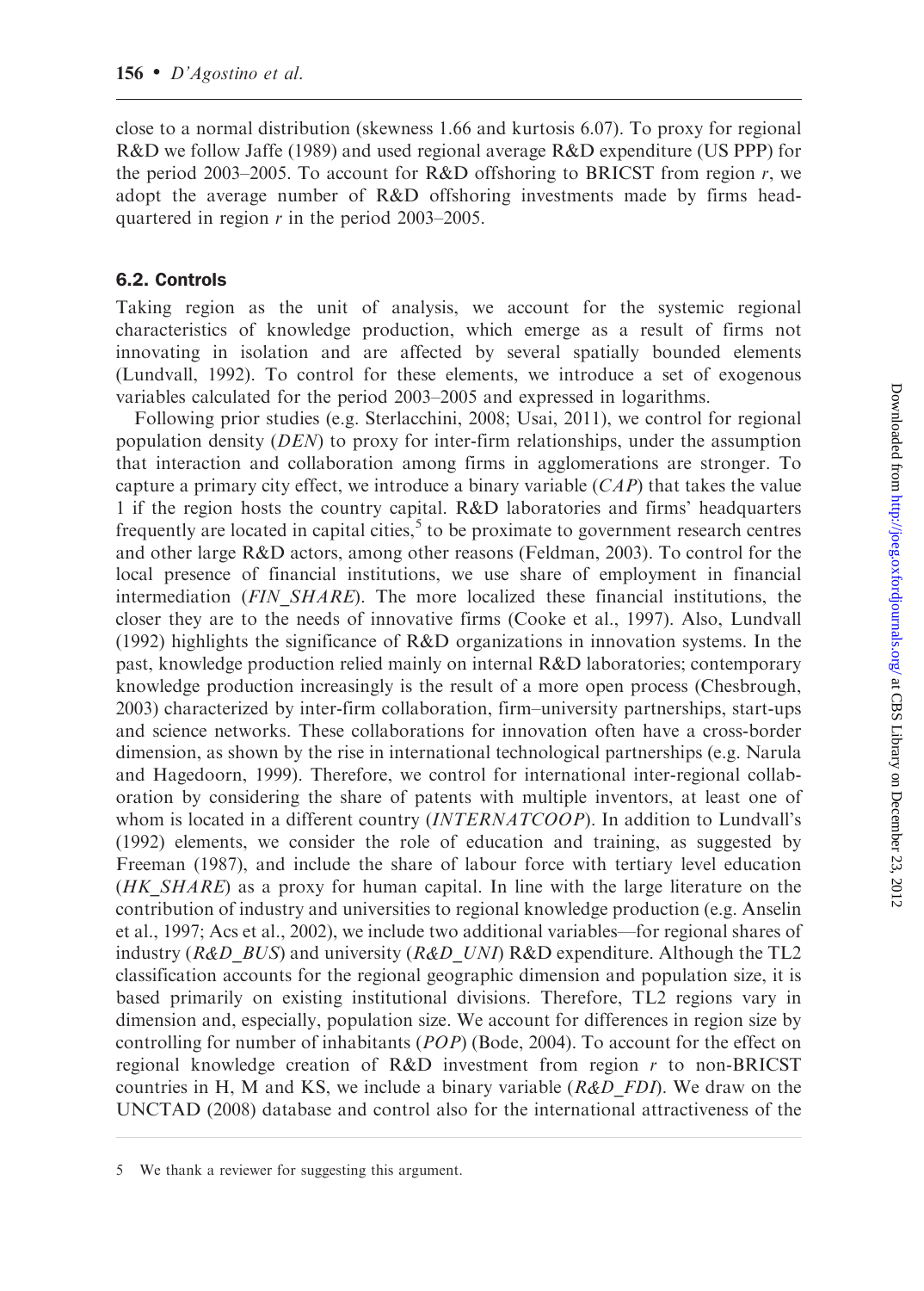close to a normal distribution (skewness 1.66 and kurtosis 6.07). To proxy for regional R&D we follow [Jaffe \(1989\)](#page-27-0) and used regional average R&D expenditure (US PPP) for the period 2003–2005. To account for R&D offshoring to BRICST from region  $r$ , we adopt the average number of R&D offshoring investments made by firms headquartered in region  $r$  in the period 2003–2005.

#### 6.2. Controls

Taking region as the unit of analysis, we account for the systemic regional characteristics of knowledge production, which emerge as a result of firms not innovating in isolation and are affected by several spatially bounded elements ([Lundvall, 1992](#page-27-0)). To control for these elements, we introduce a set of exogenous variables calculated for the period 2003–2005 and expressed in logarithms.

Following prior studies (e.g. [Sterlacchini, 2008](#page-29-0); [Usai, 2011\)](#page-29-0), we control for regional population density (DEN) to proxy for inter-firm relationships, under the assumption that interaction and collaboration among firms in agglomerations are stronger. To capture a primary city effect, we introduce a binary variable  $(CAP)$  that takes the value 1 if the region hosts the country capital. R&D laboratories and firms' headquarters frequently are located in capital cities, $\frac{5}{5}$  to be proximate to government research centres and other large R&D actors, among other reasons ([Feldman, 2003](#page-26-0)). To control for the local presence of financial institutions, we use share of employment in financial intermediation (FIN SHARE). The more localized these financial institutions, the closer they are to the needs of innovative firms ([Cooke et al., 1997](#page-26-0)). Also, [Lundvall](#page-27-0) [\(1992\)](#page-27-0) highlights the significance of R&D organizations in innovation systems. In the past, knowledge production relied mainly on internal R&D laboratories; contemporary knowledge production increasingly is the result of a more open process ([Chesbrough,](#page-26-0) [2003](#page-26-0)) characterized by inter-firm collaboration, firm–university partnerships, start-ups and science networks. These collaborations for innovation often have a cross-border dimension, as shown by the rise in international technological partnerships (e.g. [Narula](#page-28-0) [and Hagedoorn, 1999\)](#page-28-0). Therefore, we control for international inter-regional collaboration by considering the share of patents with multiple inventors, at least one of whom is located in a different country *(INTERNATCOOP)*. In addition to [Lundvall's](#page-27-0) [\(1992\)](#page-27-0) elements, we consider the role of education and training, as suggested by [Freeman \(1987\)](#page-27-0), and include the share of labour force with tertiary level education (HK SHARE) as a proxy for human capital. In line with the large literature on the contribution of industry and universities to regional knowledge production (e.g. [Anselin](#page-25-0) [et al., 1997; Acs et al., 2002\)](#page-25-0), we include two additional variables—for regional shares of industry (R&D\_BUS) and university (R&D\_UNI) R&D expenditure. Although the TL2 classification accounts for the regional geographic dimension and population size, it is based primarily on existing institutional divisions. Therefore, TL2 regions vary in dimension and, especially, population size. We account for differences in region size by controlling for number of inhabitants (POP) [\(Bode, 2004\)](#page-26-0). To account for the effect on regional knowledge creation of R&D investment from region r to non-BRICST countries in H, M and KS, we include a binary variable ( $R\&D$  FDI). We draw on the [UNCTAD \(2008\)](#page-29-0) database and control also for the international attractiveness of the

<sup>5</sup> We thank a reviewer for suggesting this argument.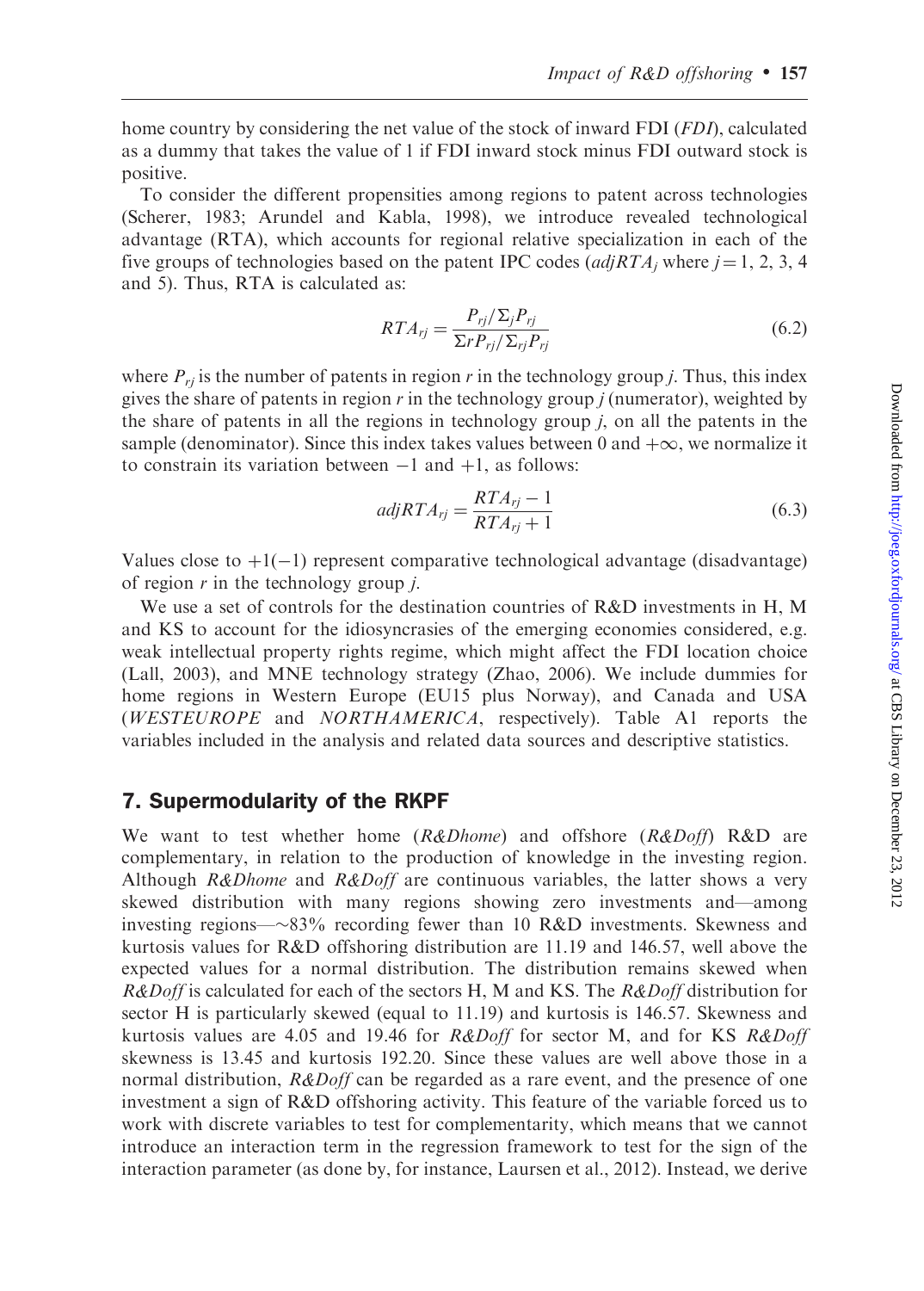home country by considering the net value of the stock of inward FDI (FDI), calculated as a dummy that takes the value of 1 if FDI inward stock minus FDI outward stock is positive.

To consider the different propensities among regions to patent across technologies [\(Scherer, 1983](#page-28-0); [Arundel and Kabla, 1998\)](#page-25-0), we introduce revealed technological advantage (RTA), which accounts for regional relative specialization in each of the five groups of technologies based on the patent IPC codes  $\left(\frac{adjRTA_i}{}$  where  $i = 1, 2, 3, 4$ and 5). Thus, RTA is calculated as:

$$
RTA_{rj} = \frac{P_{rj}/\Sigma_j P_{rj}}{\Sigma r P_{rj}/\Sigma_{rj} P_{rj}}\tag{6.2}
$$

where  $P_{ri}$  is the number of patents in region r in the technology group j. Thus, this index gives the share of patents in region  $r$  in the technology group  $j$  (numerator), weighted by the share of patents in all the regions in technology group  $j$ , on all the patents in the sample (denominator). Since this index takes values between 0 and  $+\infty$ , we normalize it to constrain its variation between  $-1$  and  $+1$ , as follows:

$$
adjRTA_{rj} = \frac{RTA_{rj} - 1}{RTA_{rj} + 1}
$$
\n(6.3)

Values close to  $+1(-1)$  represent comparative technological advantage (disadvantage) of region  $r$  in the technology group  $i$ .

We use a set of controls for the destination countries of R&D investments in H, M and KS to account for the idiosyncrasies of the emerging economies considered, e.g. weak intellectual property rights regime, which might affect the FDI location choice [\(Lall, 2003](#page-27-0)), and MNE technology strategy [\(Zhao, 2006](#page-29-0)). We include dummies for home regions in Western Europe (EU15 plus Norway), and Canada and USA (WESTEUROPE and NORTHAMERICA, respectively). [Table A1](#page-30-0) reports the variables included in the analysis and related data sources and descriptive statistics.

# 7. Supermodularity of the RKPF

We want to test whether home  $(R\&Dhome)$  and offshore  $(R\&Dof)$  R&D are complementary, in relation to the production of knowledge in the investing region. Although R&Dhome and R&Doff are continuous variables, the latter shows a very skewed distribution with many regions showing zero investments and—among investing regions— $\sim$ 83% recording fewer than 10 R&D investments. Skewness and kurtosis values for R&D offshoring distribution are 11.19 and 146.57, well above the expected values for a normal distribution. The distribution remains skewed when R&Doff is calculated for each of the sectors H, M and KS. The  $R&D$ off distribution for sector H is particularly skewed (equal to 11.19) and kurtosis is 146.57. Skewness and kurtosis values are 4.05 and 19.46 for  $R\&D$  for sector M, and for KS  $R\&D$  of f skewness is 13.45 and kurtosis 192.20. Since these values are well above those in a normal distribution,  $R\&D\text{off}$  can be regarded as a rare event, and the presence of one investment a sign of R&D offshoring activity. This feature of the variable forced us to work with discrete variables to test for complementarity, which means that we cannot introduce an interaction term in the regression framework to test for the sign of the interaction parameter (as done by, for instance, [Laursen et al., 2012\)](#page-27-0). Instead, we derive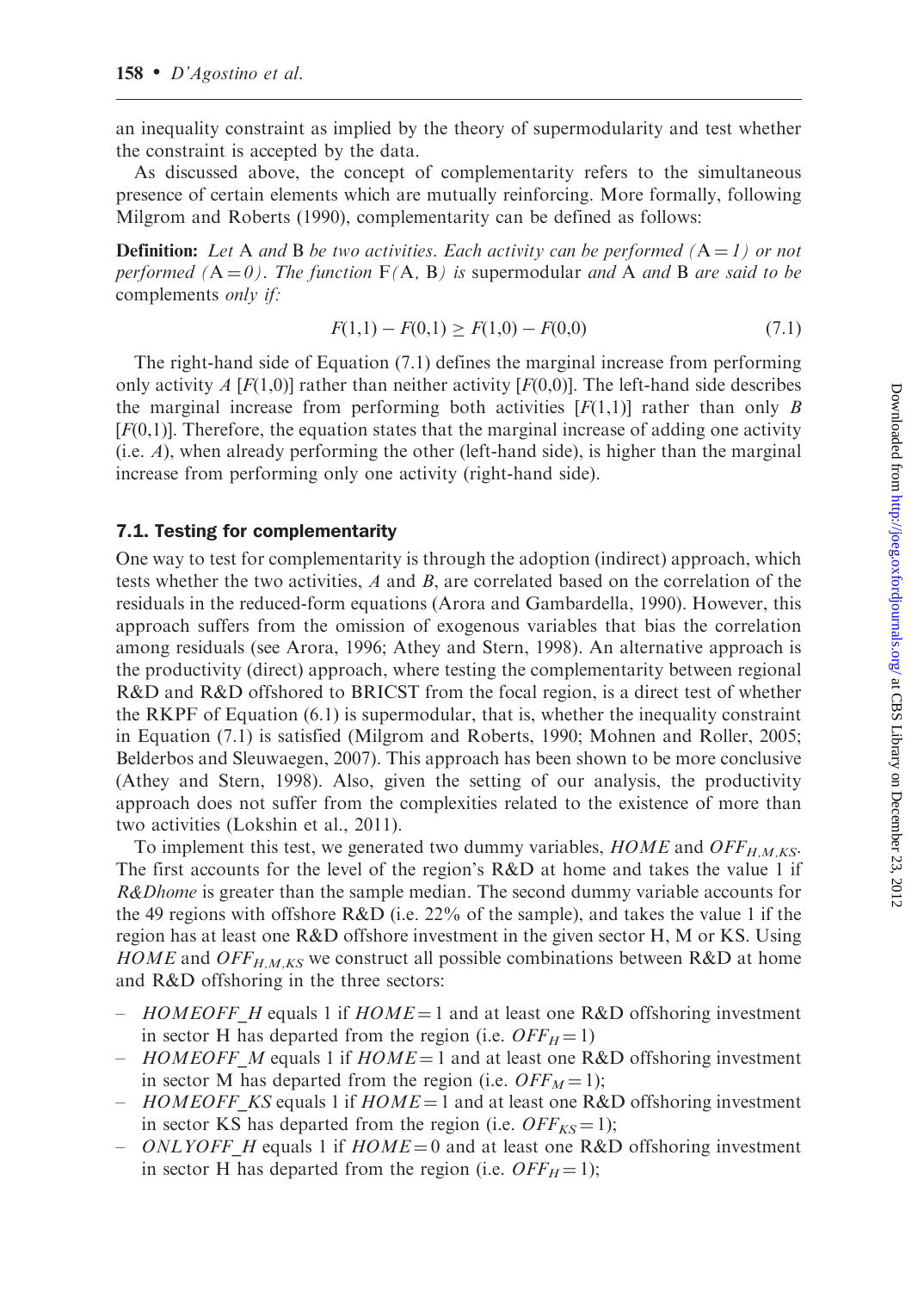an inequality constraint as implied by the theory of supermodularity and test whether the constraint is accepted by the data.

As discussed above, the concept of complementarity refers to the simultaneous presence of certain elements which are mutually reinforcing. More formally, following [Milgrom and Roberts \(1990\),](#page-28-0) complementarity can be defined as follows:

**Definition:** Let A and B be two activities. Each activity can be performed  $(A = 1)$  or not performed  $(A = 0)$ . The function  $F(A, B)$  is supermodular and A and B are said to be complements only if:

$$
F(1,1) - F(0,1) \ge F(1,0) - F(0,0) \tag{7.1}
$$

The right-hand side of Equation (7.1) defines the marginal increase from performing only activity A  $[F(1,0)]$  rather than neither activity  $[F(0,0)]$ . The left-hand side describes the marginal increase from performing both activities  $[F(1,1)]$  rather than only B  $[F(0,1)]$ . Therefore, the equation states that the marginal increase of adding one activity  $(i.e. A)$ , when already performing the other (left-hand side), is higher than the marginal increase from performing only one activity (right-hand side).

#### 7.1. Testing for complementarity

One way to test for complementarity is through the adoption (indirect) approach, which tests whether the two activities, A and B, are correlated based on the correlation of the residuals in the reduced-form equations ([Arora and Gambardella, 1990](#page-25-0)). However, this approach suffers from the omission of exogenous variables that bias the correlation among residuals (see [Arora, 1996](#page-25-0); [Athey and Stern, 1998](#page-25-0)). An alternative approach is the productivity (direct) approach, where testing the complementarity between regional R&D and R&D offshored to BRICST from the focal region, is a direct test of whether the RKPF of Equation (6.1) is supermodular, that is, whether the inequality constraint in Equation (7.1) is satisfied [\(Milgrom and Roberts, 1990](#page-28-0); [Mohnen and Roller, 2005](#page-28-0); [Belderbos and Sleuwaegen, 2007](#page-26-0)). This approach has been shown to be more conclusive ([Athey and Stern, 1998\)](#page-25-0). Also, given the setting of our analysis, the productivity approach does not suffer from the complexities related to the existence of more than two activities ([Lokshin et al., 2011\)](#page-27-0).

To implement this test, we generated two dummy variables,  $HOME$  and  $OFF_{H.M,KS}$ . The first accounts for the level of the region's R&D at home and takes the value 1 if R&Dhome is greater than the sample median. The second dummy variable accounts for the 49 regions with offshore R&D (i.e. 22% of the sample), and takes the value 1 if the region has at least one R&D offshore investment in the given sector H, M or KS. Using HOME and OFF<sub>H,M,KS</sub> we construct all possible combinations between R&D at home and R&D offshoring in the three sectors:

- HOMEOFF\_H equals 1 if  $HOME = 1$  and at least one R&D offshoring investment in sector H has departed from the region (i.e.  $OFF_H = 1$ )
- $HOMEOFF\_M$  equals 1 if  $HOME = 1$  and at least one R&D offshoring investment in sector M has departed from the region (i.e.  $OFF<sub>M</sub> = 1$ );
- HOMEOFF KS equals 1 if  $HOME = 1$  and at least one R&D offshoring investment in sector KS has departed from the region (i.e.  $OFF_{KS} = 1$ );
- ONLYOFF H equals 1 if  $HOME = 0$  and at least one R&D offshoring investment in sector H has departed from the region (i.e.  $OFF_H = 1$ );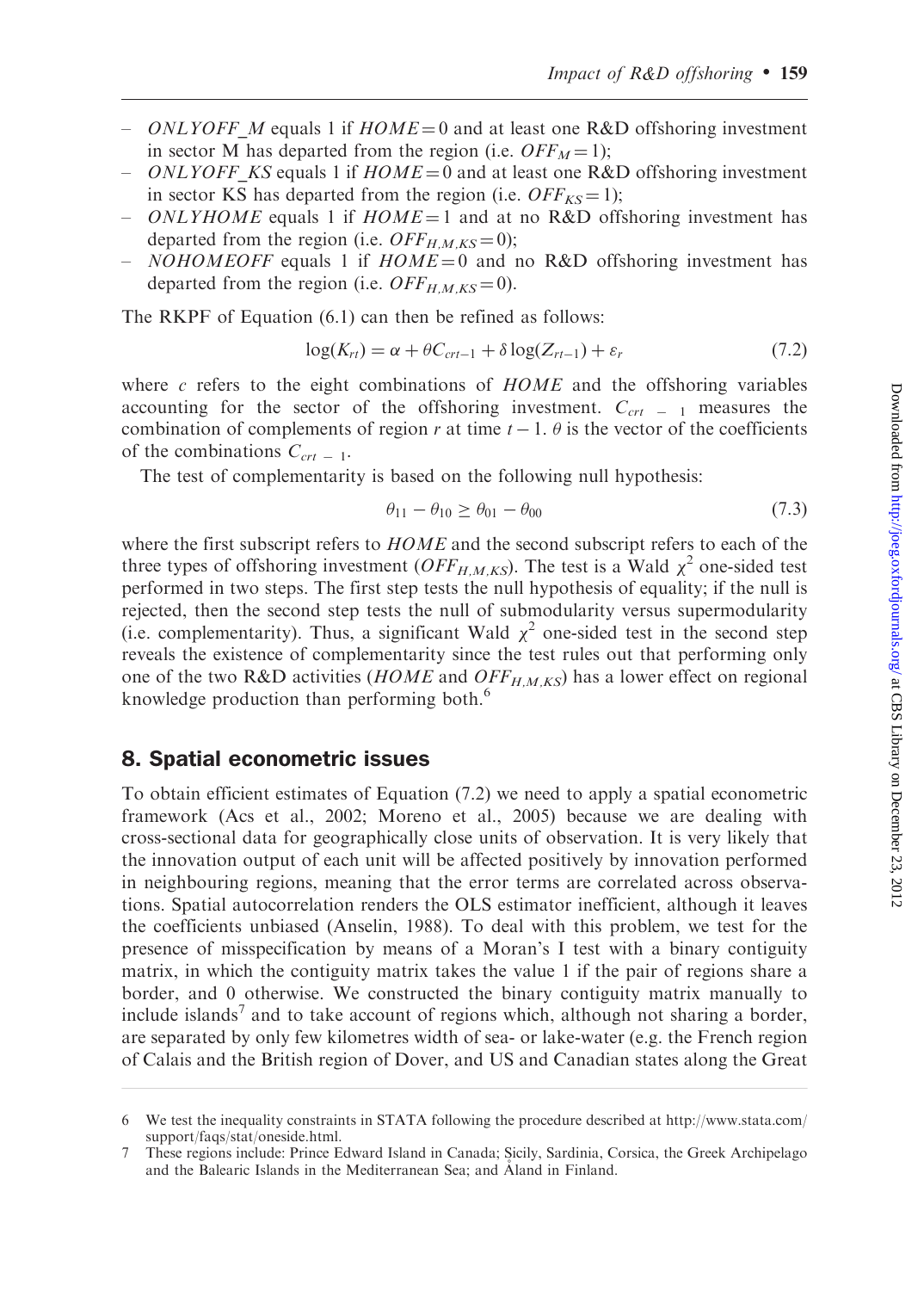- ONLYOFF M equals 1 if  $HOME = 0$  and at least one R&D offshoring investment in sector M has departed from the region (i.e.  $OFF<sub>M</sub> = 1$ );
- ONLYOFF KS equals 1 if  $HOME = 0$  and at least one R&D offshoring investment in sector KS has departed from the region (i.e.  $OFF_{KS} = 1$ );
- *ONLYHOME* equals 1 if  $HOME = 1$  and at no R&D offshoring investment has departed from the region (i.e.  $OFF_{H,M,KS} = 0$ );
- NOHOMEOFF equals 1 if  $HOME = 0$  and no R&D offshoring investment has departed from the region (i.e.  $OFF_{H,M,KS} = 0$ ).

The RKPF of Equation (6.1) can then be refined as follows:

$$
log(K_{rt}) = \alpha + \theta C_{crt-1} + \delta log(Z_{rt-1}) + \varepsilon_r
$$
\n(7.2)

where c refers to the eight combinations of  $HOME$  and the offshoring variables accounting for the sector of the offshoring investment.  $C_{crt} = 1$  measures the combination of complements of region r at time  $t-1$ .  $\theta$  is the vector of the coefficients of the combinations  $C_{crt-1}$ .

The test of complementarity is based on the following null hypothesis:

$$
\theta_{11} - \theta_{10} \ge \theta_{01} - \theta_{00} \tag{7.3}
$$

where the first subscript refers to  $HOME$  and the second subscript refers to each of the three types of offshoring investment (OFF<sub>H,M,KS</sub>). The test is a Wald  $\chi^2$  one-sided test performed in two steps. The first step tests the null hypothesis of equality; if the null is rejected, then the second step tests the null of submodularity versus supermodularity (i.e. complementarity). Thus, a significant Wald  $\chi^2$  one-sided test in the second step reveals the existence of complementarity since the test rules out that performing only one of the two R&D activities (*HOME* and  $OFF<sub>H, M, KS</sub>$ ) has a lower effect on regional knowledge production than performing both.<sup>6</sup>

#### 8. Spatial econometric issues

To obtain efficient estimates of Equation (7.2) we need to apply a spatial econometric framework ([Acs et al., 2002;](#page-25-0) [Moreno et al., 2005\)](#page-28-0) because we are dealing with cross-sectional data for geographically close units of observation. It is very likely that the innovation output of each unit will be affected positively by innovation performed in neighbouring regions, meaning that the error terms are correlated across observations. Spatial autocorrelation renders the OLS estimator inefficient, although it leaves the coefficients unbiased [\(Anselin, 1988](#page-25-0)). To deal with this problem, we test for the presence of misspecification by means of a Moran's I test with a binary contiguity matrix, in which the contiguity matrix takes the value 1 if the pair of regions share a border, and 0 otherwise. We constructed the binary contiguity matrix manually to include islands<sup>7</sup> and to take account of regions which, although not sharing a border, are separated by only few kilometres width of sea- or lake-water (e.g. the French region of Calais and the British region of Dover, and US and Canadian states along the Great

<sup>6</sup> We test the inequality constraints in STATA following the procedure described at [http://www.stata.com/](http://www.stata.com/support/faqs/stat/oneside.html) [support/faqs/stat/oneside.html.](http://www.stata.com/support/faqs/stat/oneside.html)

<sup>7</sup> These regions include: Prince Edward Island in Canada; Sicily, Sardinia, Corsica, the Greek Archipelago and the Balearic Islands in the Mediterranean Sea; and Aland in Finland.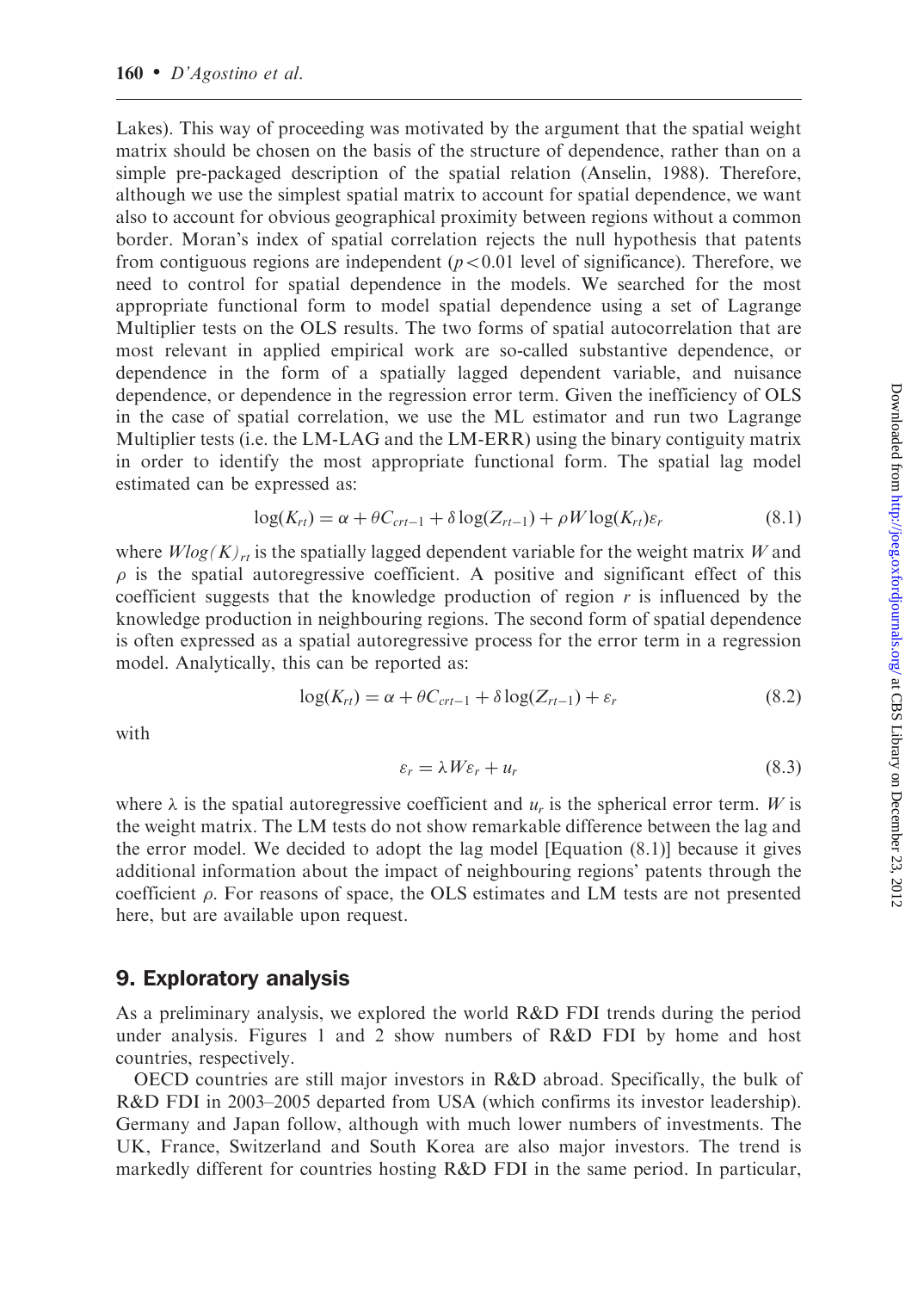Lakes). This way of proceeding was motivated by the argument that the spatial weight matrix should be chosen on the basis of the structure of dependence, rather than on a simple pre-packaged description of the spatial relation [\(Anselin, 1988](#page-25-0)). Therefore, although we use the simplest spatial matrix to account for spatial dependence, we want also to account for obvious geographical proximity between regions without a common border. Moran's index of spatial correlation rejects the null hypothesis that patents from contiguous regions are independent ( $p<0.01$  level of significance). Therefore, we need to control for spatial dependence in the models. We searched for the most appropriate functional form to model spatial dependence using a set of Lagrange Multiplier tests on the OLS results. The two forms of spatial autocorrelation that are most relevant in applied empirical work are so-called substantive dependence, or dependence in the form of a spatially lagged dependent variable, and nuisance dependence, or dependence in the regression error term. Given the inefficiency of OLS in the case of spatial correlation, we use the ML estimator and run two Lagrange Multiplier tests (i.e. the LM-LAG and the LM-ERR) using the binary contiguity matrix in order to identify the most appropriate functional form. The spatial lag model estimated can be expressed as:

$$
\log(K_{rt}) = \alpha + \theta C_{crt-1} + \delta \log(Z_{rt-1}) + \rho W \log(K_{rt}) \varepsilon_r \tag{8.1}
$$

where  $W \log(K)_{rt}$  is the spatially lagged dependent variable for the weight matrix W and  $\rho$  is the spatial autoregressive coefficient. A positive and significant effect of this coefficient suggests that the knowledge production of region  $r$  is influenced by the knowledge production in neighbouring regions. The second form of spatial dependence is often expressed as a spatial autoregressive process for the error term in a regression model. Analytically, this can be reported as:

$$
log(K_{rt}) = \alpha + \theta C_{crt-1} + \delta log(Z_{rt-1}) + \varepsilon_r
$$
\n(8.2)

with

$$
\varepsilon_r = \lambda W \varepsilon_r + u_r \tag{8.3}
$$

where  $\lambda$  is the spatial autoregressive coefficient and  $u_r$  is the spherical error term. W is the weight matrix. The LM tests do not show remarkable difference between the lag and the error model. We decided to adopt the lag model [Equation (8.1)] because it gives additional information about the impact of neighbouring regions' patents through the coefficient  $\rho$ . For reasons of space, the OLS estimates and LM tests are not presented here, but are available upon request.

#### 9. Exploratory analysis

As a preliminary analysis, we explored the world R&D FDI trends during the period under analysis. [Figures 1](#page-16-0) and [2](#page-16-0) show numbers of R&D FDI by home and host countries, respectively.

OECD countries are still major investors in R&D abroad. Specifically, the bulk of R&D FDI in 2003–2005 departed from USA (which confirms its investor leadership). Germany and Japan follow, although with much lower numbers of investments. The UK, France, Switzerland and South Korea are also major investors. The trend is markedly different for countries hosting R&D FDI in the same period. In particular,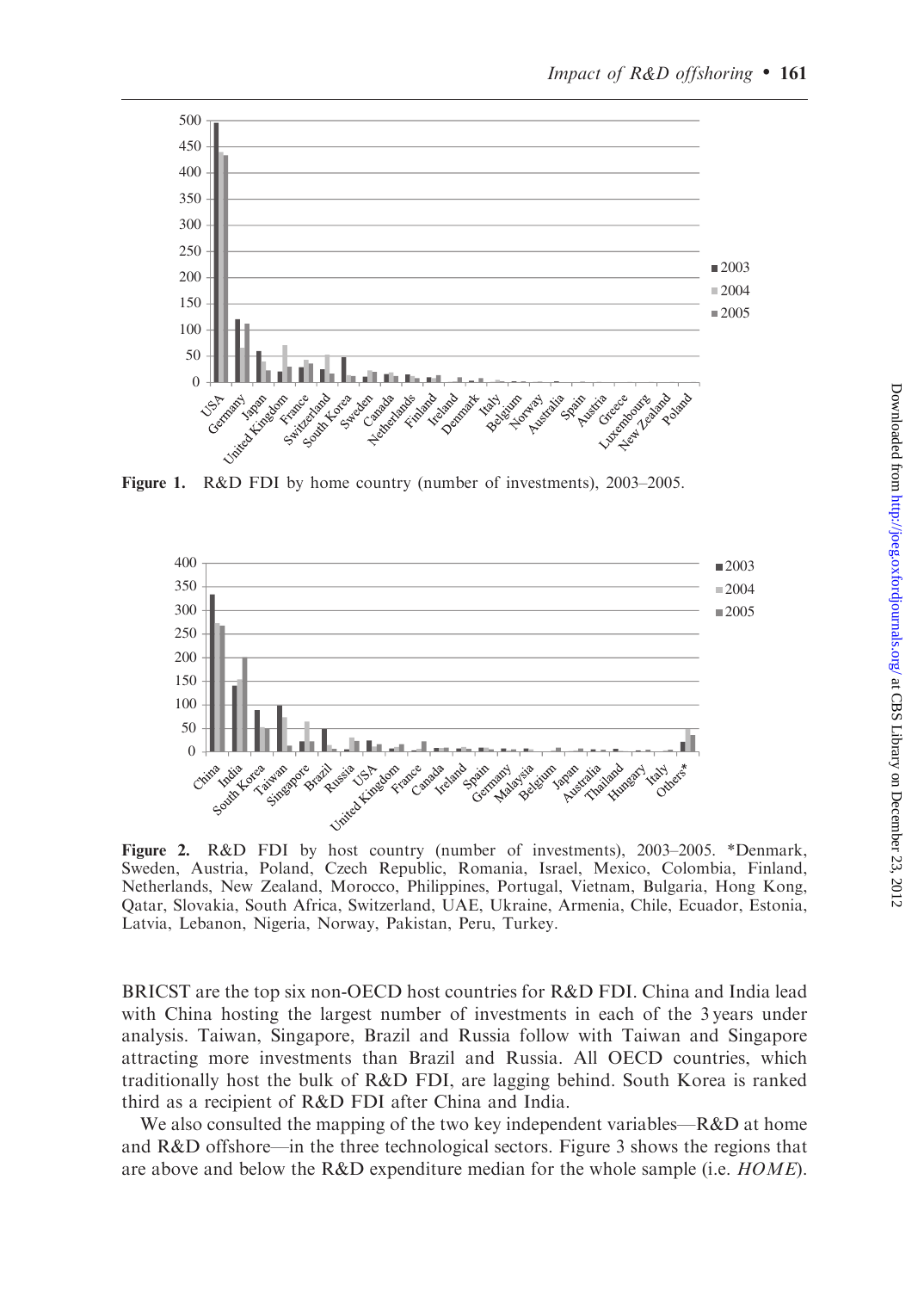<span id="page-16-0"></span>

Figure 1. R&D FDI by home country (number of investments), 2003–2005.



Figure 2. R&D FDI by host country (number of investments), 2003–2005. \*Denmark, Sweden, Austria, Poland, Czech Republic, Romania, Israel, Mexico, Colombia, Finland, Netherlands, New Zealand, Morocco, Philippines, Portugal, Vietnam, Bulgaria, Hong Kong, Qatar, Slovakia, South Africa, Switzerland, UAE, Ukraine, Armenia, Chile, Ecuador, Estonia, Latvia, Lebanon, Nigeria, Norway, Pakistan, Peru, Turkey.

BRICST are the top six non-OECD host countries for R&D FDI. China and India lead with China hosting the largest number of investments in each of the 3 years under analysis. Taiwan, Singapore, Brazil and Russia follow with Taiwan and Singapore attracting more investments than Brazil and Russia. All OECD countries, which traditionally host the bulk of R&D FDI, are lagging behind. South Korea is ranked third as a recipient of R&D FDI after China and India.

We also consulted the mapping of the two key independent variables— $R&D$  at home and R&D offshore—in the three technological sectors. [Figure 3](#page-17-0) shows the regions that are above and below the R&D expenditure median for the whole sample (i.e. HOME).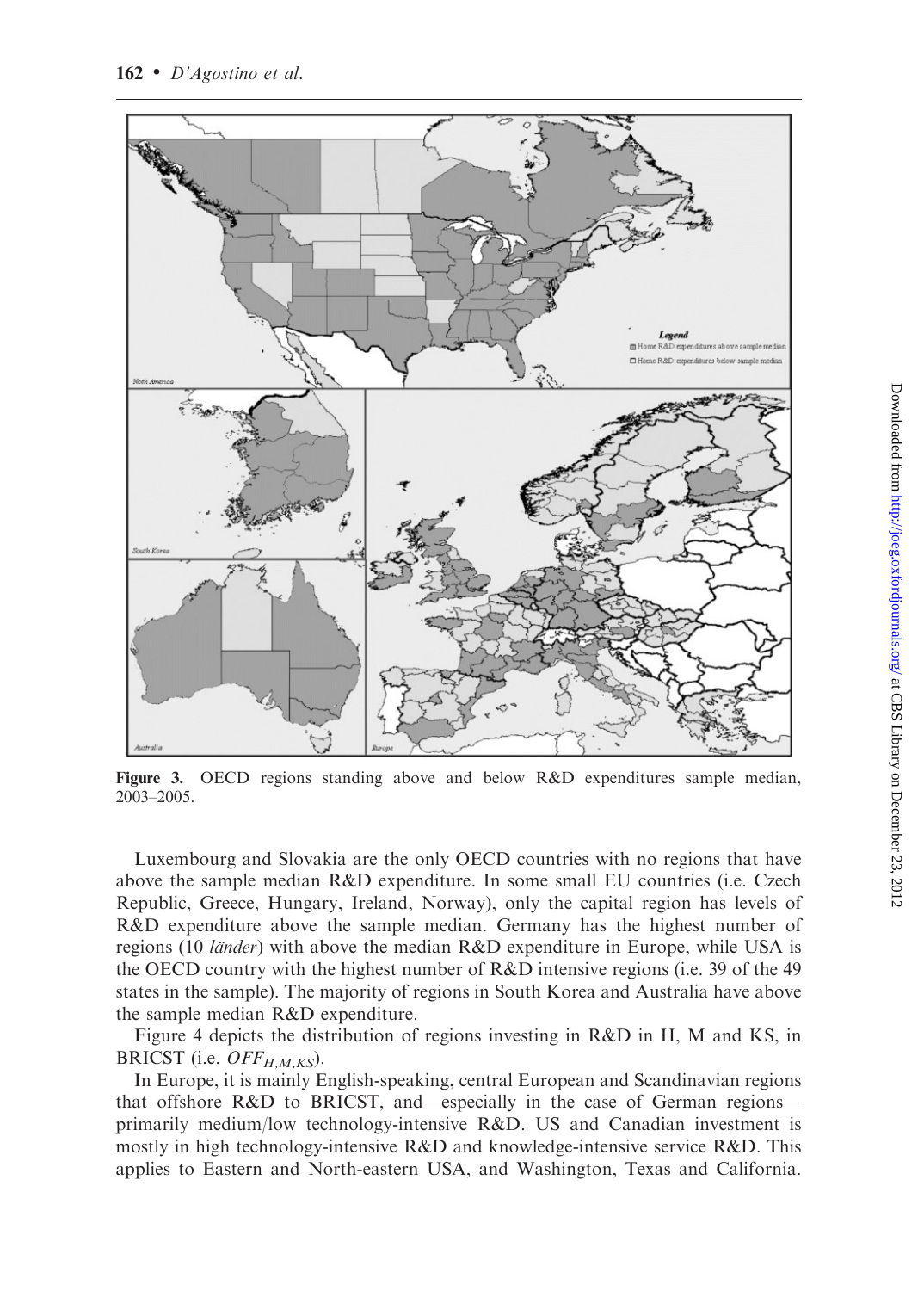<span id="page-17-0"></span>

Figure 3. OECD regions standing above and below R&D expenditures sample median, 2003–2005.

Luxembourg and Slovakia are the only OECD countries with no regions that have above the sample median R&D expenditure. In some small EU countries (i.e. Czech Republic, Greece, Hungary, Ireland, Norway), only the capital region has levels of R&D expenditure above the sample median. Germany has the highest number of regions (10 *länder*) with above the median  $R&D$  expenditure in Europe, while USA is the OECD country with the highest number of R&D intensive regions (i.e. 39 of the 49 states in the sample). The majority of regions in South Korea and Australia have above the sample median R&D expenditure.

[Figure 4](#page-18-0) depicts the distribution of regions investing in R&D in H, M and KS, in BRICST (i.e.  $OFF_{H.M.KS}$ ).

In Europe, it is mainly English-speaking, central European and Scandinavian regions that offshore R&D to BRICST, and—especially in the case of German regions primarily medium/low technology-intensive R&D. US and Canadian investment is mostly in high technology-intensive R&D and knowledge-intensive service R&D. This applies to Eastern and North-eastern USA, and Washington, Texas and California.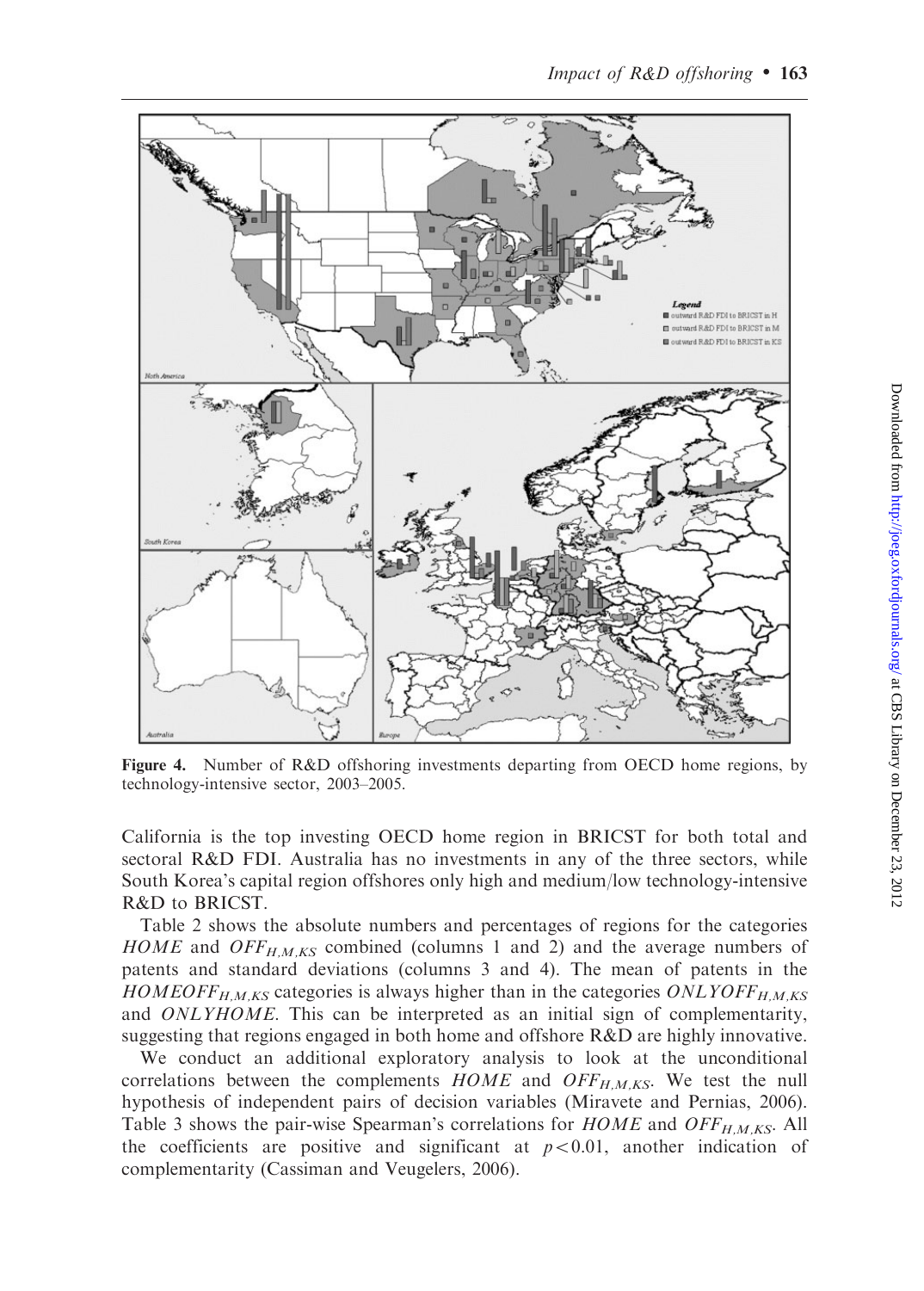<span id="page-18-0"></span>

Figure 4. Number of R&D offshoring investments departing from OECD home regions, by technology-intensive sector, 2003–2005.

California is the top investing OECD home region in BRICST for both total and sectoral R&D FDI. Australia has no investments in any of the three sectors, while South Korea's capital region offshores only high and medium/low technology-intensive R&D to BRICST.

[Table 2](#page-19-0) shows the absolute numbers and percentages of regions for the categories HOME and  $OFF<sub>H,M,KS</sub>$  combined (columns 1 and 2) and the average numbers of patents and standard deviations (columns 3 and 4). The mean of patents in the  $HOMEOFF_{H,M,KS}$  categories is always higher than in the categories  $ONLYOFF_{H,M,KS}$ and *ONLYHOME*. This can be interpreted as an initial sign of complementarity, suggesting that regions engaged in both home and offshore R&D are highly innovative.

We conduct an additional exploratory analysis to look at the unconditional correlations between the complements  $HOME$  and  $OFF<sub>H.M,KS</sub>$ . We test the null hypothesis of independent pairs of decision variables ([Miravete and Pernias, 2006](#page-28-0)). [Table 3](#page-19-0) shows the pair-wise Spearman's correlations for  $HOME$  and  $OFF<sub>H M KS</sub>$ . All the coefficients are positive and significant at  $p<0.01$ , another indication of complementarity [\(Cassiman and Veugelers, 2006](#page-26-0)).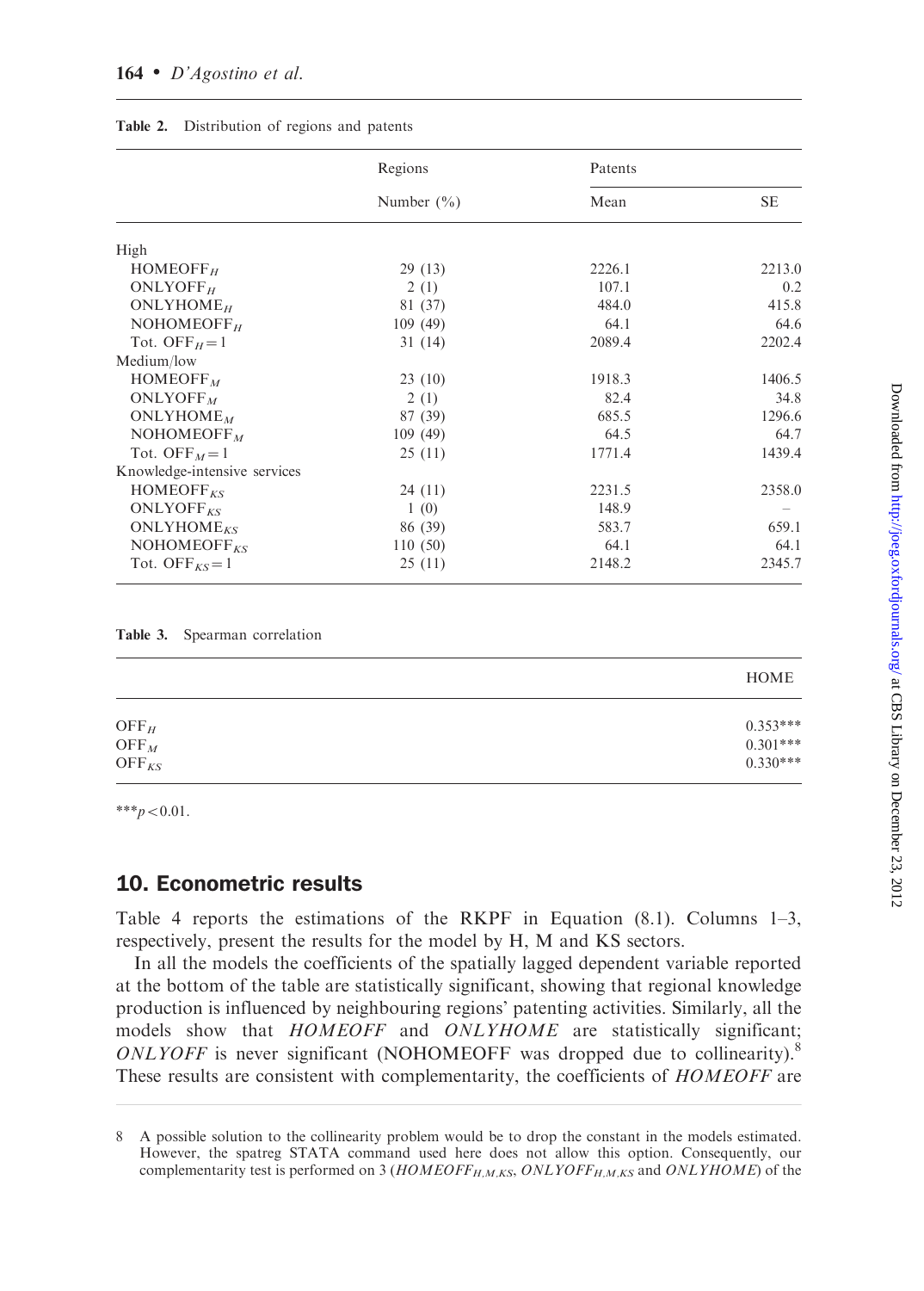|                                          | Regions        | Patents |           |
|------------------------------------------|----------------|---------|-----------|
|                                          | Number $(\% )$ | Mean    | <b>SE</b> |
| High                                     |                |         |           |
| HOMEOFF <sub>H</sub>                     | 29(13)         | 2226.1  | 2213.0    |
| $ONLYOFF_H$                              | 2(1)           | 107.1   | 0.2       |
| ONLYHOME <sub>H</sub>                    | 81 (37)        | 484.0   | 415.8     |
| NOHOMEOFF $_H$                           | 109(49)        | 64.1    | 64.6      |
| Tot. OFF $_H=1$                          | 31(14)         | 2089.4  | 2202.4    |
| Medium/low                               |                |         |           |
| $HOMEOFF_M$                              | 23(10)         | 1918.3  | 1406.5    |
| ONLYOFF $_M$                             | 2(1)           | 82.4    | 34.8      |
| ONLYHOME <sub>M</sub>                    | 87 (39)        | 685.5   | 1296.6    |
| NOHOMEOFF $_M$                           | 109(49)        | 64.5    | 64.7      |
| Tot. OFF $_M=1$                          | 25(11)         | 1771.4  | 1439.4    |
| Knowledge-intensive services             |                |         |           |
| HOMEOFF <sub><math>\kappa s</math></sub> | 24(11)         | 2231.5  | 2358.0    |
| ONLYOFF <sub>KS</sub>                    | 1(0)           | 148.9   |           |
| ONLYHOME <sub><math>KS</math></sub>      | 86 (39)        | 583.7   | 659.1     |
| NOHOMEOFF <sub><math>KS</math></sub>     | 110(50)        | 64.1    | 64.1      |
| Tot. OFF $_{KS}$ = 1                     | 25(11)         | 2148.2  | 2345.7    |

<span id="page-19-0"></span>

| Table 2. Distribution of regions and patents |  |  |  |  |
|----------------------------------------------|--|--|--|--|
|----------------------------------------------|--|--|--|--|

Table 3. Spearman correlation

|                     | HOME       |
|---------------------|------------|
| OFF <sub>H</sub>    | $0.353***$ |
| $\mathrm{OFF}_M$    | $0.301***$ |
| $\mathrm{OFF}_{KS}$ | $0.330***$ |

\*\*\* $p<0.01$ .

### 10. Econometric results

[Table 4](#page-20-0) reports the estimations of the RKPF in Equation (8.1). Columns 1–3, respectively, present the results for the model by H, M and KS sectors.

In all the models the coefficients of the spatially lagged dependent variable reported at the bottom of the table are statistically significant, showing that regional knowledge production is influenced by neighbouring regions' patenting activities. Similarly, all the models show that HOMEOFF and ONLYHOME are statistically significant; ONLYOFF is never significant (NOHOMEOFF was dropped due to collinearity).<sup>8</sup> These results are consistent with complementarity, the coefficients of HOMEOFF are

<sup>8</sup> A possible solution to the collinearity problem would be to drop the constant in the models estimated. However, the spatreg STATA command used here does not allow this option. Consequently, our complementarity test is performed on 3 (HOMEOFF<sub>H,M,KS</sub>, ONLYOFF<sub>H,M,KS</sub> and ONLYHOME) of the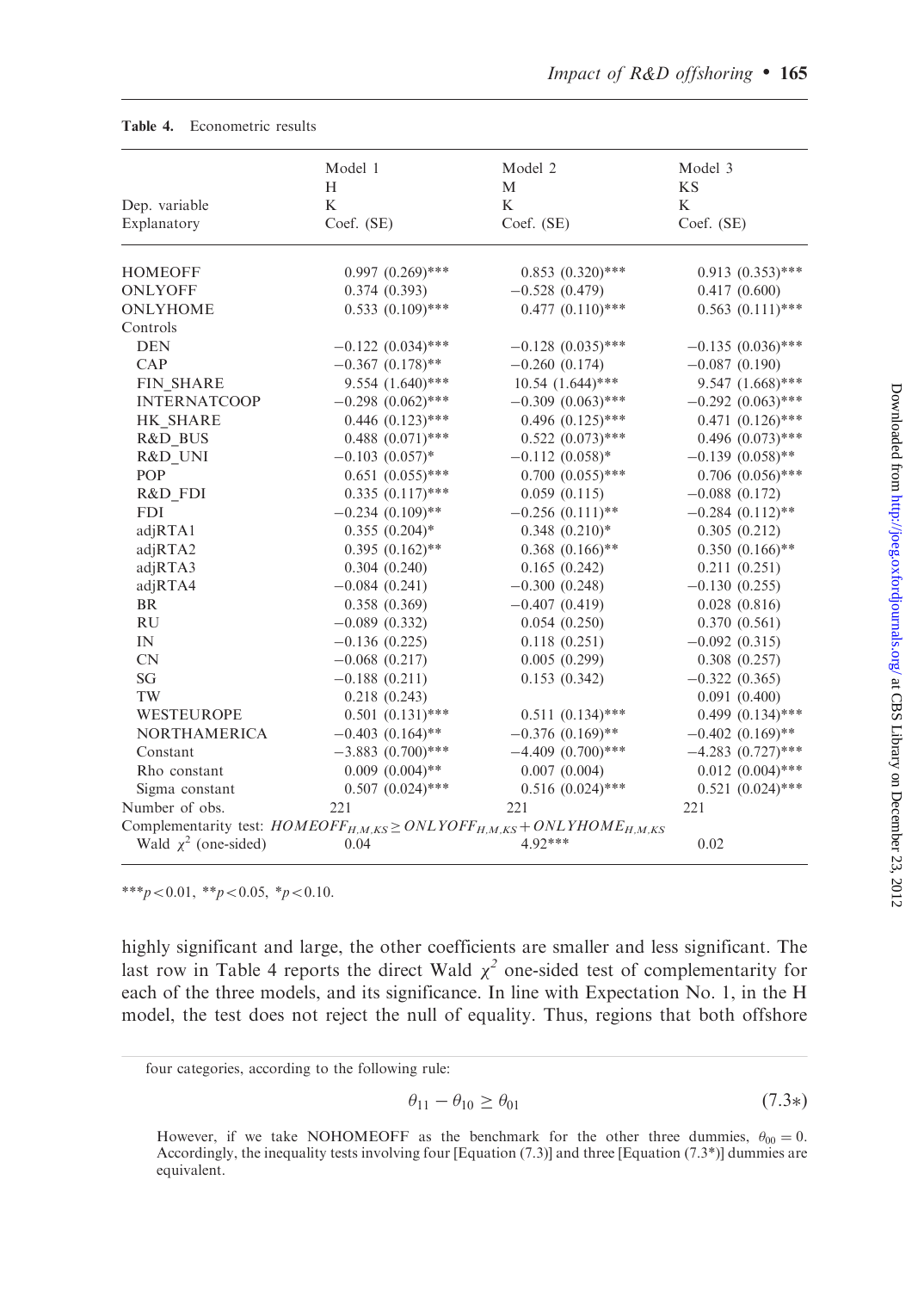|                           | Model 1                                                                            | Model 2               | Model 3                |
|---------------------------|------------------------------------------------------------------------------------|-----------------------|------------------------|
|                           | H                                                                                  | M                     | <b>KS</b>              |
| Dep. variable             | K                                                                                  | K                     | K                      |
| Explanatory               | Coef. (SE)                                                                         | Coef. (SE)            | Coef. (SE)             |
| <b>HOMEOFF</b>            | $0.997(0.269)$ ***                                                                 | $0.853$ $(0.320)$ *** | $0.913(0.353)$ ***     |
| <b>ONLYOFF</b>            | 0.374(0.393)                                                                       | $-0.528(0.479)$       | 0.417(0.600)           |
| ONLYHOME                  | $0.533(0.109)$ ***                                                                 | $0.477(0.110)$ ***    | $0.563$ $(0.111)$ ***  |
| Controls                  |                                                                                    |                       |                        |
| <b>DEN</b>                | $-0.122(0.034)$ ***                                                                | $-0.128(0.035)$ ***   | $-0.135(0.036)$ ***    |
| CAP                       | $-0.367(0.178)$ **                                                                 | $-0.260(0.174)$       | $-0.087(0.190)$        |
| <b>FIN_SHARE</b>          | $9.554$ $(1.640)$ ***                                                              | $10.54$ $(1.644)$ *** | 9.547 $(1.668)$ ***    |
| <b>INTERNATCOOP</b>       | $-0.298(0.062)$ ***                                                                | $-0.309(0.063)$ ***   | $-0.292(0.063)$ ***    |
| HK_SHARE                  | $0.446$ $(0.123)$ ***                                                              | $0.496(0.125)$ ***    | $0.471(0.126)$ ***     |
| R&D BUS                   | $0.488~(0.071)$ ***                                                                | $0.522(0.073)$ ***    | $0.496 (0.073)$ ***    |
| R&D UNI                   | $-0.103$ $(0.057)$ *                                                               | $-0.112(0.058)$ *     | $-0.139(0.058)$ **     |
| POP                       | $0.651(0.055)$ ***                                                                 | $0.700(0.055)$ ***    | $0.706$ $(0.056)$ ***  |
| R&D FDI                   | $0.335(0.117)$ ***                                                                 | 0.059(0.115)          | $-0.088(0.172)$        |
| <b>FDI</b>                | $-0.234(0.109)$ **                                                                 | $-0.256(0.111)$ **    | $-0.284(0.112)$ **     |
| adjRTA1                   | $0.355(0.204)$ *                                                                   | $0.348(0.210)*$       | 0.305(0.212)           |
| adjRTA2                   | $0.395(0.162)$ **                                                                  | $0.368$ $(0.166)$ **  | $0.350(0.166)$ **      |
| adjRTA3                   | 0.304(0.240)                                                                       | 0.165(0.242)          | 0.211(0.251)           |
| adjRTA4                   | $-0.084(0.241)$                                                                    | $-0.300(0.248)$       | $-0.130(0.255)$        |
| <b>BR</b>                 | 0.358(0.369)                                                                       | $-0.407(0.419)$       | 0.028(0.816)           |
| RU                        | $-0.089(0.332)$                                                                    | 0.054(0.250)          | 0.370(0.561)           |
| IN                        | $-0.136(0.225)$                                                                    | 0.118(0.251)          | $-0.092(0.315)$        |
| CN                        | $-0.068(0.217)$                                                                    | 0.005(0.299)          | 0.308(0.257)           |
| SG                        | $-0.188(0.211)$                                                                    | 0.153(0.342)          | $-0.322(0.365)$        |
| TW                        | 0.218(0.243)                                                                       |                       | 0.091(0.400)           |
| <b>WESTEUROPE</b>         | $0.501(0.131)$ ***                                                                 | $0.511(0.134)$ ***    | $0.499(0.134)$ ***     |
| <b>NORTHAMERICA</b>       | $-0.403(0.164)$ **                                                                 | $-0.376(0.169)$ **    | $-0.402(0.169)$ **     |
| Constant                  | $-3.883(0.700)$ ***                                                                | $-4.409(0.700)$ ***   | $-4.283$ $(0.727)$ *** |
| Rho constant              | $0.009$ $(0.004)$ **                                                               | 0.007(0.004)          | $0.012~(0.004)$ ***    |
| Sigma constant            | $0.507(0.024)$ ***                                                                 | $0.516$ $(0.024)$ *** | $0.521 (0.024)$ ***    |
| Number of obs.            | 221                                                                                | 221                   | 221                    |
|                           | Complementarity test: $HOMEOFF_{H,M,KS} \geq ONLYOFF_{H,M,KS} + ONLYHOME_{H,M,KS}$ |                       |                        |
| Wald $\chi^2$ (one-sided) | 0.04                                                                               | 4.92***               | 0.02                   |

#### <span id="page-20-0"></span>Table 4. Econometric results

\*\*\*p < 0.01, \*\*p < 0.05, \*p < 0.10.

highly significant and large, the other coefficients are smaller and less significant. The last row in Table 4 reports the direct Wald  $\chi^2$  one-sided test of complementarity for each of the three models, and its significance. In line with Expectation No. 1, in the H model, the test does not reject the null of equality. Thus, regions that both offshore

$$
\theta_{11} - \theta_{10} \ge \theta_{01} \tag{7.3*}
$$

four categories, according to the following rule:

However, if we take NOHOMEOFF as the benchmark for the other three dummies,  $\theta_{00} = 0$ . Accordingly, the inequality tests involving four [Equation (7.3)] and three [Equation (7.3\*)] dummies are equivalent.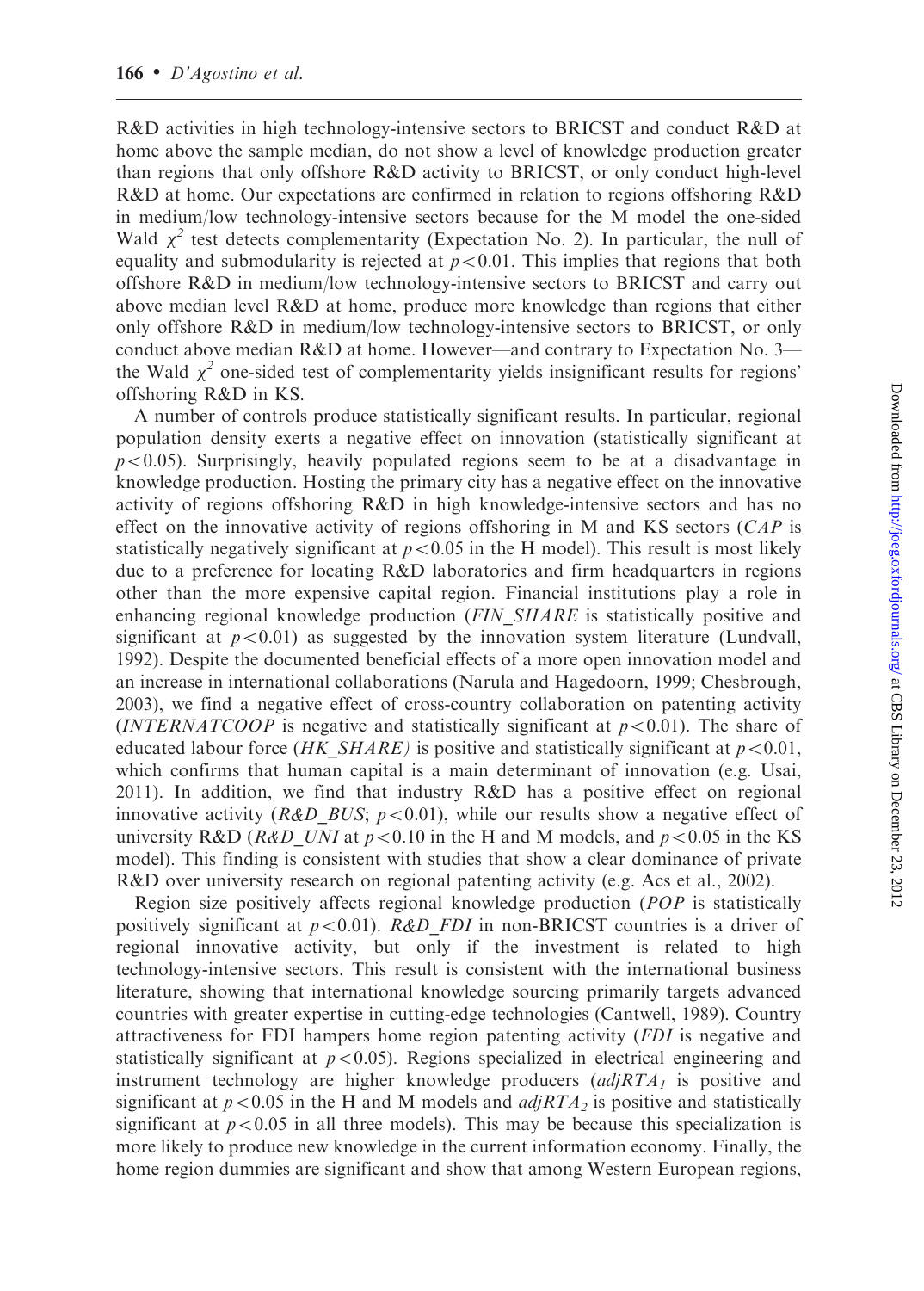R&D activities in high technology-intensive sectors to BRICST and conduct R&D at home above the sample median, do not show a level of knowledge production greater than regions that only offshore R&D activity to BRICST, or only conduct high-level R&D at home. Our expectations are confirmed in relation to regions offshoring R&D in medium/low technology-intensive sectors because for the M model the one-sided Wald  $\chi^2$  test detects complementarity (Expectation No. 2). In particular, the null of equality and submodularity is rejected at  $p<0.01$ . This implies that regions that both offshore R&D in medium/low technology-intensive sectors to BRICST and carry out above median level R&D at home, produce more knowledge than regions that either only offshore R&D in medium/low technology-intensive sectors to BRICST, or only conduct above median R&D at home. However—and contrary to Expectation No. 3 the Wald  $\chi^2$  one-sided test of complementarity yields insignificant results for regions' offshoring R&D in KS.

A number of controls produce statistically significant results. In particular, regional population density exerts a negative effect on innovation (statistically significant at  $p<0.05$ ). Surprisingly, heavily populated regions seem to be at a disadvantage in knowledge production. Hosting the primary city has a negative effect on the innovative activity of regions offshoring R&D in high knowledge-intensive sectors and has no effect on the innovative activity of regions offshoring in M and KS sectors  $(CAP)$  is statistically negatively significant at  $p<0.05$  in the H model). This result is most likely due to a preference for locating R&D laboratories and firm headquarters in regions other than the more expensive capital region. Financial institutions play a role in enhancing regional knowledge production (FIN SHARE is statistically positive and significant at  $p<0.01$ ) as suggested by the innovation system literature ([Lundvall,](#page-27-0) [1992](#page-27-0)). Despite the documented beneficial effects of a more open innovation model and an increase in international collaborations ([Narula and Hagedoorn, 1999](#page-28-0); [Chesbrough,](#page-26-0) [2003](#page-26-0)), we find a negative effect of cross-country collaboration on patenting activity (INTERNATCOOP is negative and statistically significant at  $p<0.01$ ). The share of educated labour force (HK SHARE) is positive and statistically significant at  $p<0.01$ , which confirms that human capital is a main determinant of innovation (e.g. [Usai,](#page-29-0) [2011](#page-29-0)). In addition, we find that industry R&D has a positive effect on regional innovative activity (R&D BUS;  $p<0.01$ ), while our results show a negative effect of university R&D (*R&D* UNI at  $p<0.10$  in the H and M models, and  $p<0.05$  in the KS model). This finding is consistent with studies that show a clear dominance of private R&D over university research on regional patenting activity (e.g. [Acs et al., 2002](#page-25-0)).

Region size positively affects regional knowledge production (POP is statistically positively significant at  $p<0.01$ ). R&D\_FDI in non-BRICST countries is a driver of regional innovative activity, but only if the investment is related to high technology-intensive sectors. This result is consistent with the international business literature, showing that international knowledge sourcing primarily targets advanced countries with greater expertise in cutting-edge technologies ([Cantwell, 1989](#page-26-0)). Country attractiveness for FDI hampers home region patenting activity (FDI is negative and statistically significant at  $p<0.05$ ). Regions specialized in electrical engineering and instrument technology are higher knowledge producers  $\left(\frac{adjRTA}{1}\right)$  is positive and significant at  $p<0.05$  in the H and M models and *adjRTA*<sub>2</sub> is positive and statistically significant at  $p<0.05$  in all three models). This may be because this specialization is more likely to produce new knowledge in the current information economy. Finally, the home region dummies are significant and show that among Western European regions,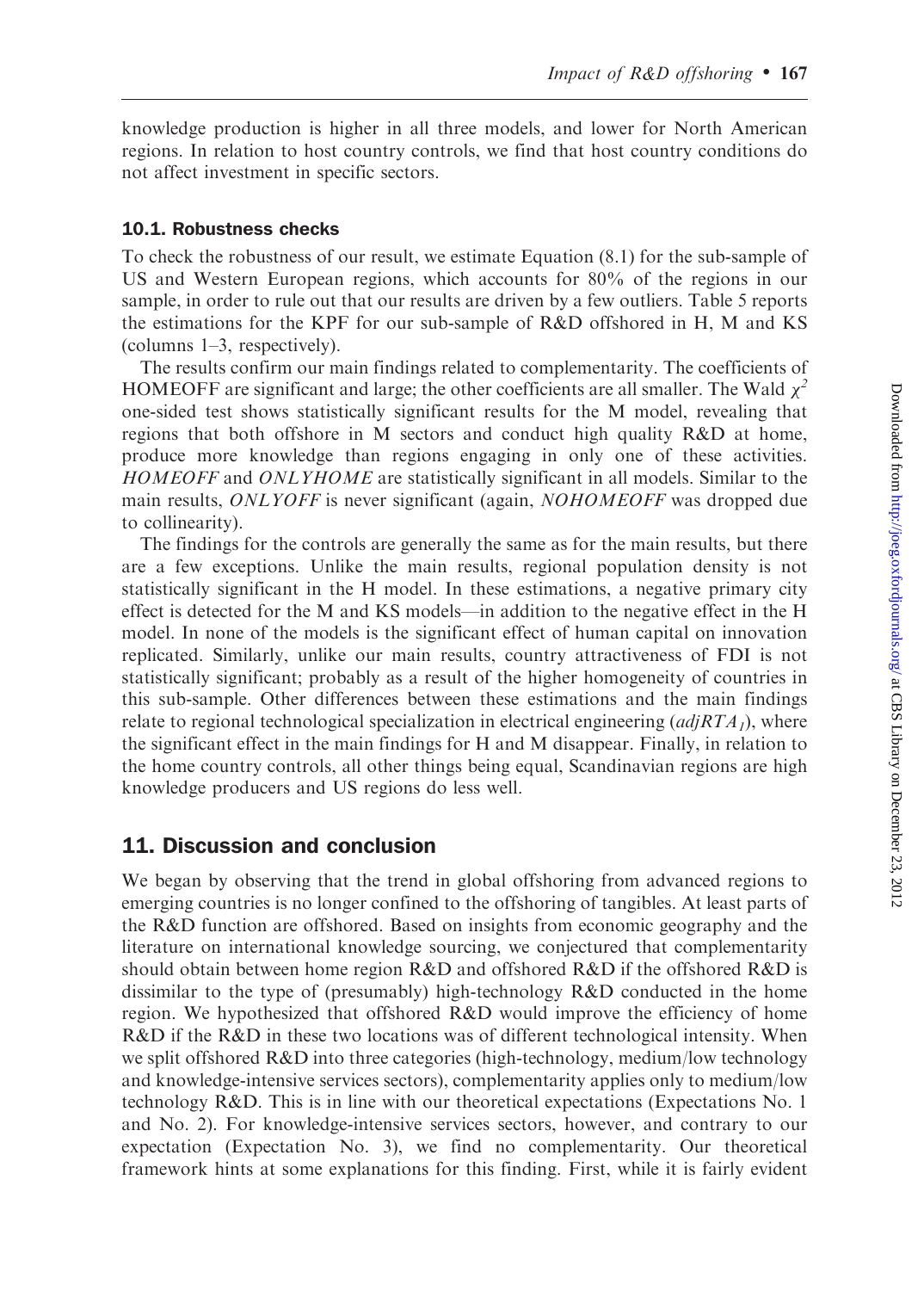knowledge production is higher in all three models, and lower for North American regions. In relation to host country controls, we find that host country conditions do not affect investment in specific sectors.

#### 10.1. Robustness checks

To check the robustness of our result, we estimate Equation (8.1) for the sub-sample of US and Western European regions, which accounts for 80% of the regions in our sample, in order to rule out that our results are driven by a few outliers. [Table 5](#page-23-0) reports the estimations for the KPF for our sub-sample of R&D offshored in H, M and KS (columns 1–3, respectively).

The results confirm our main findings related to complementarity. The coefficients of HOMEOFF are significant and large; the other coefficients are all smaller. The Wald  $\chi^2$ one-sided test shows statistically significant results for the M model, revealing that regions that both offshore in M sectors and conduct high quality R&D at home, produce more knowledge than regions engaging in only one of these activities. HOMEOFF and ONLYHOME are statistically significant in all models. Similar to the main results, *ONLYOFF* is never significant (again, *NOHOMEOFF* was dropped due to collinearity).

The findings for the controls are generally the same as for the main results, but there are a few exceptions. Unlike the main results, regional population density is not statistically significant in the H model. In these estimations, a negative primary city effect is detected for the M and KS models—in addition to the negative effect in the H model. In none of the models is the significant effect of human capital on innovation replicated. Similarly, unlike our main results, country attractiveness of FDI is not statistically significant; probably as a result of the higher homogeneity of countries in this sub-sample. Other differences between these estimations and the main findings relate to regional technological specialization in electrical engineering  $\left(\frac{adjRT}{1}\right)$ , where the significant effect in the main findings for H and M disappear. Finally, in relation to the home country controls, all other things being equal, Scandinavian regions are high knowledge producers and US regions do less well.

### 11. Discussion and conclusion

We began by observing that the trend in global offshoring from advanced regions to emerging countries is no longer confined to the offshoring of tangibles. At least parts of the R&D function are offshored. Based on insights from economic geography and the literature on international knowledge sourcing, we conjectured that complementarity should obtain between home region R&D and offshored R&D if the offshored R&D is dissimilar to the type of (presumably) high-technology R&D conducted in the home region. We hypothesized that offshored R&D would improve the efficiency of home R&D if the R&D in these two locations was of different technological intensity. When we split offshored R&D into three categories (high-technology, medium/low technology and knowledge-intensive services sectors), complementarity applies only to medium/low technology R&D. This is in line with our theoretical expectations (Expectations No. 1 and No. 2). For knowledge-intensive services sectors, however, and contrary to our expectation (Expectation No. 3), we find no complementarity. Our theoretical framework hints at some explanations for this finding. First, while it is fairly evident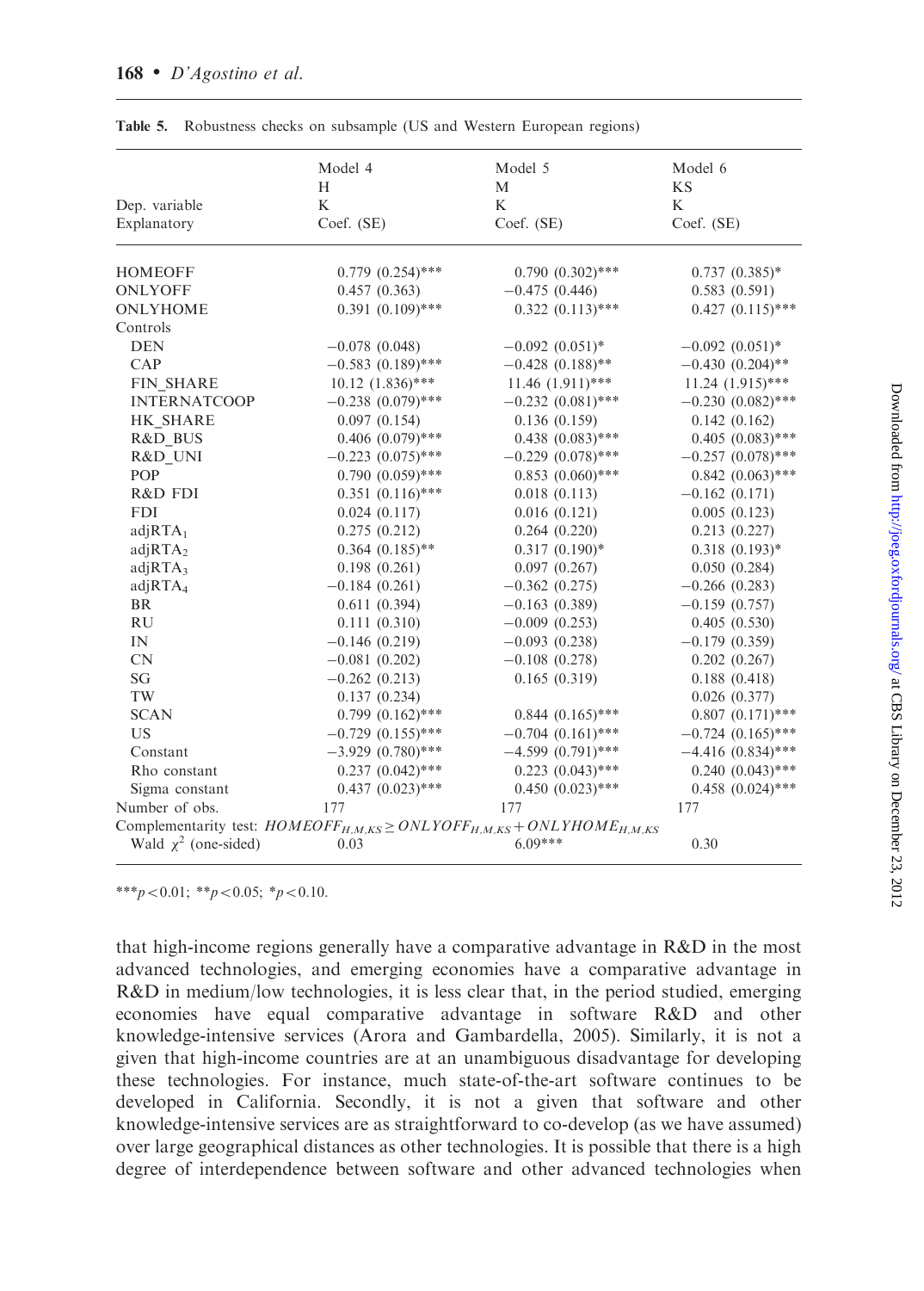|                           | Model 4                                                                            | Model 5                | Model 6               |
|---------------------------|------------------------------------------------------------------------------------|------------------------|-----------------------|
|                           | H                                                                                  | M                      | <b>KS</b>             |
| Dep. variable             | K                                                                                  | K                      | K                     |
| Explanatory               | Coef. (SE)                                                                         | Coef. (SE)             | Coef. (SE)            |
| <b>HOMEOFF</b>            | $0.779(0.254)$ ***                                                                 | $0.790(0.302)$ ***     | $0.737(0.385)*$       |
| <b>ONLYOFF</b>            | 0.457(0.363)                                                                       | $-0.475(0.446)$        | 0.583(0.591)          |
| <b>ONLYHOME</b>           | $0.391(0.109)$ ***                                                                 | $0.322(0.113)$ ***     | $0.427(0.115)$ ***    |
| Controls                  |                                                                                    |                        |                       |
| <b>DEN</b>                | $-0.078(0.048)$                                                                    | $-0.092(0.051)$ *      | $-0.092(0.051)$ *     |
| CAP                       | $-0.583(0.189)$ ***                                                                | $-0.428(0.188)$ **     | $-0.430(0.204)$ **    |
| <b>FIN SHARE</b>          | $10.12$ $(1.836)$ ***                                                              | $11.46 (1.911)$ ***    | $11.24$ $(1.915)$ *** |
| <b>INTERNATCOOP</b>       | $-0.238(0.079)$ ***                                                                | $-0.232(0.081)$ ***    | $-0.230(0.082)$ ***   |
| HK SHARE                  | 0.097(0.154)                                                                       | 0.136(0.159)           | 0.142(0.162)          |
| R&D BUS                   | $0.406 (0.079)$ ***                                                                | $0.438$ $(0.083)$ ***  | $0.405(0.083)$ ***    |
| R&D UNI                   | $-0.223(0.075)$ ***                                                                | $-0.229(0.078)$ ***    | $-0.257(0.078)$ ***   |
| <b>POP</b>                | $0.790(0.059)$ ***                                                                 | $0.853$ $(0.060)$ ***  | $0.842 (0.063)$ ***   |
| R&D FDI                   | $0.351(0.116)$ ***                                                                 | 0.018(0.113)           | $-0.162(0.171)$       |
| <b>FDI</b>                | 0.024(0.117)                                                                       | 0.016(0.121)           | 0.005(0.123)          |
| adjRTA <sub>1</sub>       | 0.275(0.212)                                                                       | 0.264(0.220)           | 0.213(0.227)          |
| adjRTA <sub>2</sub>       | $0.364$ $(0.185)$ **                                                               | $0.317(0.190)$ *       | $0.318(0.193)*$       |
| adjRTA <sub>3</sub>       | 0.198(0.261)                                                                       | 0.097(0.267)           | 0.050(0.284)          |
| adjRTA <sub>4</sub>       | $-0.184(0.261)$                                                                    | $-0.362(0.275)$        | $-0.266(0.283)$       |
| <b>BR</b>                 | 0.611(0.394)                                                                       | $-0.163(0.389)$        | $-0.159(0.757)$       |
| <b>RU</b>                 | 0.111(0.310)                                                                       | $-0.009(0.253)$        | 0.405(0.530)          |
| IN                        | $-0.146(0.219)$                                                                    | $-0.093(0.238)$        | $-0.179(0.359)$       |
| CN                        | $-0.081(0.202)$                                                                    | $-0.108(0.278)$        | 0.202(0.267)          |
| SG                        | $-0.262(0.213)$                                                                    | 0.165(0.319)           | 0.188(0.418)          |
| TW                        | 0.137(0.234)                                                                       |                        | 0.026(0.377)          |
| <b>SCAN</b>               | $0.799(0.162)$ ***                                                                 | $0.844$ $(0.165)$ ***  | $0.807(0.171)$ ***    |
| <b>US</b>                 | $-0.729(0.155)$ ***                                                                | $-0.704$ $(0.161)$ *** | $-0.724~(0.165)$ ***  |
| Constant                  | $-3.929(0.780)$ ***                                                                | $-4.599(0.791)$ ***    | $-4.416(0.834)$ ***   |
| Rho constant              | $0.237(0.042)$ ***                                                                 | $0.223$ $(0.043)$ ***  | $0.240~(0.043)$ ***   |
| Sigma constant            | $0.437 (0.023)$ ***                                                                | $0.450(0.023)$ ***     | $0.458$ $(0.024)$ *** |
| Number of obs.            | 177                                                                                | 177                    | 177                   |
|                           | Complementarity test: $HOMEOFF_{H,M,KS} \geq ONLYOFF_{H,M,KS} + ONLYHOME_{H,M,KS}$ |                        |                       |
| Wald $\chi^2$ (one-sided) | 0.03                                                                               | $6.09***$              | 0.30                  |

<span id="page-23-0"></span>Table 5. Robustness checks on subsample (US and Western European regions)

\*\*\*p < 0.01; \*\*p < 0.05; \*p < 0.10.

that high-income regions generally have a comparative advantage in R&D in the most advanced technologies, and emerging economies have a comparative advantage in R&D in medium/low technologies, it is less clear that, in the period studied, emerging economies have equal comparative advantage in software R&D and other knowledge-intensive services [\(Arora and Gambardella, 2005](#page-25-0)). Similarly, it is not a given that high-income countries are at an unambiguous disadvantage for developing these technologies. For instance, much state-of-the-art software continues to be developed in California. Secondly, it is not a given that software and other knowledge-intensive services are as straightforward to co-develop (as we have assumed) over large geographical distances as other technologies. It is possible that there is a high degree of interdependence between software and other advanced technologies when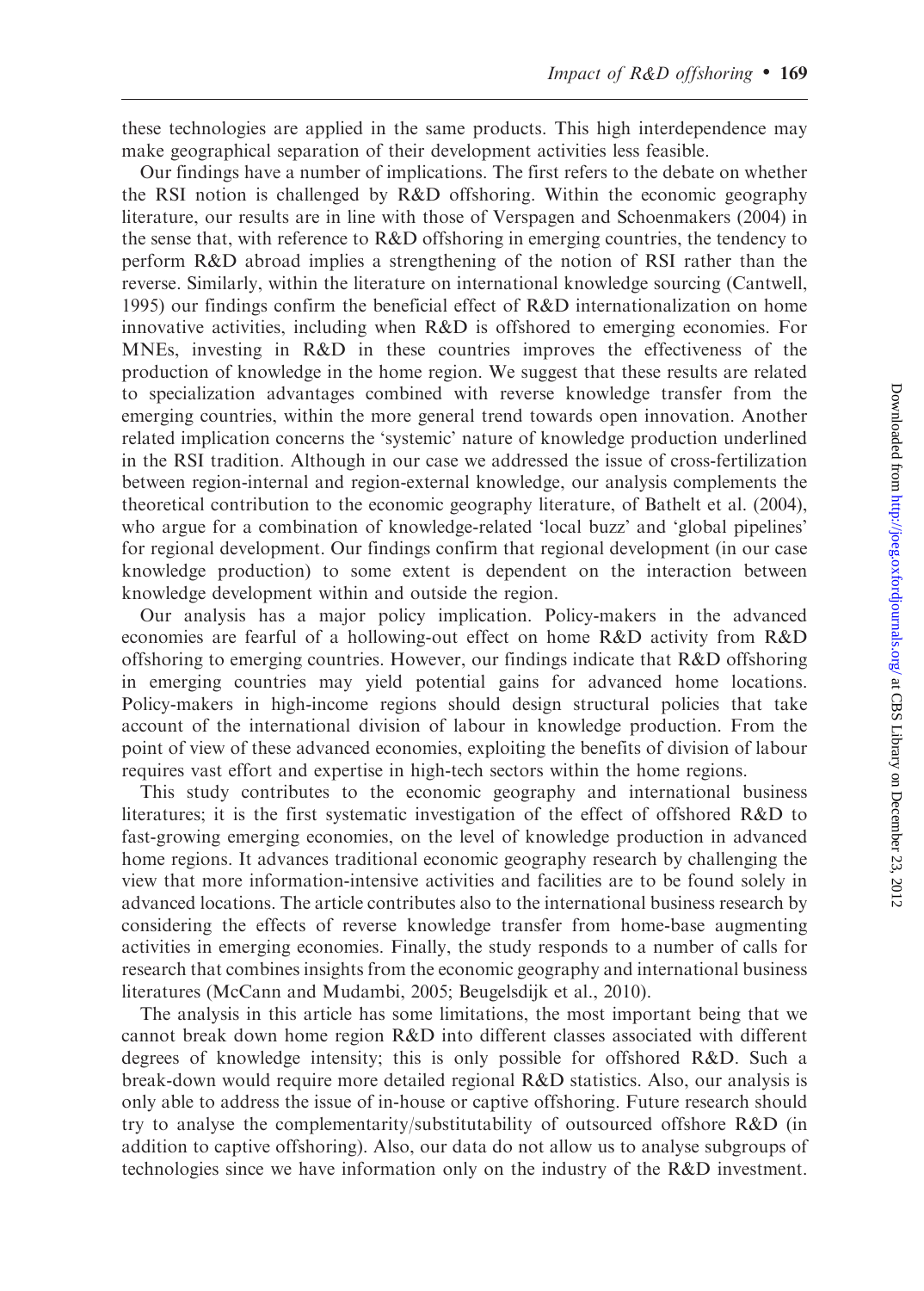these technologies are applied in the same products. This high interdependence may make geographical separation of their development activities less feasible.

Our findings have a number of implications. The first refers to the debate on whether the RSI notion is challenged by R&D offshoring. Within the economic geography literature, our results are in line with those of [Verspagen and Schoenmakers \(2004\)](#page-29-0) in the sense that, with reference to R&D offshoring in emerging countries, the tendency to perform R&D abroad implies a strengthening of the notion of RSI rather than the reverse. Similarly, within the literature on international knowledge sourcing ([Cantwell,](#page-26-0) [1995\)](#page-26-0) our findings confirm the beneficial effect of R&D internationalization on home innovative activities, including when R&D is offshored to emerging economies. For MNEs, investing in R&D in these countries improves the effectiveness of the production of knowledge in the home region. We suggest that these results are related to specialization advantages combined with reverse knowledge transfer from the emerging countries, within the more general trend towards open innovation. Another related implication concerns the 'systemic' nature of knowledge production underlined in the RSI tradition. Although in our case we addressed the issue of cross-fertilization between region-internal and region-external knowledge, our analysis complements the theoretical contribution to the economic geography literature, of [Bathelt et al. \(2004\),](#page-26-0) who argue for a combination of knowledge-related 'local buzz' and 'global pipelines' for regional development. Our findings confirm that regional development (in our case knowledge production) to some extent is dependent on the interaction between knowledge development within and outside the region.

Our analysis has a major policy implication. Policy-makers in the advanced economies are fearful of a hollowing-out effect on home R&D activity from R&D offshoring to emerging countries. However, our findings indicate that R&D offshoring in emerging countries may yield potential gains for advanced home locations. Policy-makers in high-income regions should design structural policies that take account of the international division of labour in knowledge production. From the point of view of these advanced economies, exploiting the benefits of division of labour requires vast effort and expertise in high-tech sectors within the home regions.

This study contributes to the economic geography and international business literatures; it is the first systematic investigation of the effect of offshored R&D to fast-growing emerging economies, on the level of knowledge production in advanced home regions. It advances traditional economic geography research by challenging the view that more information-intensive activities and facilities are to be found solely in advanced locations. The article contributes also to the international business research by considering the effects of reverse knowledge transfer from home-base augmenting activities in emerging economies. Finally, the study responds to a number of calls for research that combines insights from the economic geography and international business literatures ([McCann and Mudambi, 2005;](#page-28-0) [Beugelsdijk et al., 2010](#page-26-0)).

The analysis in this article has some limitations, the most important being that we cannot break down home region R&D into different classes associated with different degrees of knowledge intensity; this is only possible for offshored R&D. Such a break-down would require more detailed regional R&D statistics. Also, our analysis is only able to address the issue of in-house or captive offshoring. Future research should try to analyse the complementarity/substitutability of outsourced offshore R&D (in addition to captive offshoring). Also, our data do not allow us to analyse subgroups of technologies since we have information only on the industry of the R&D investment.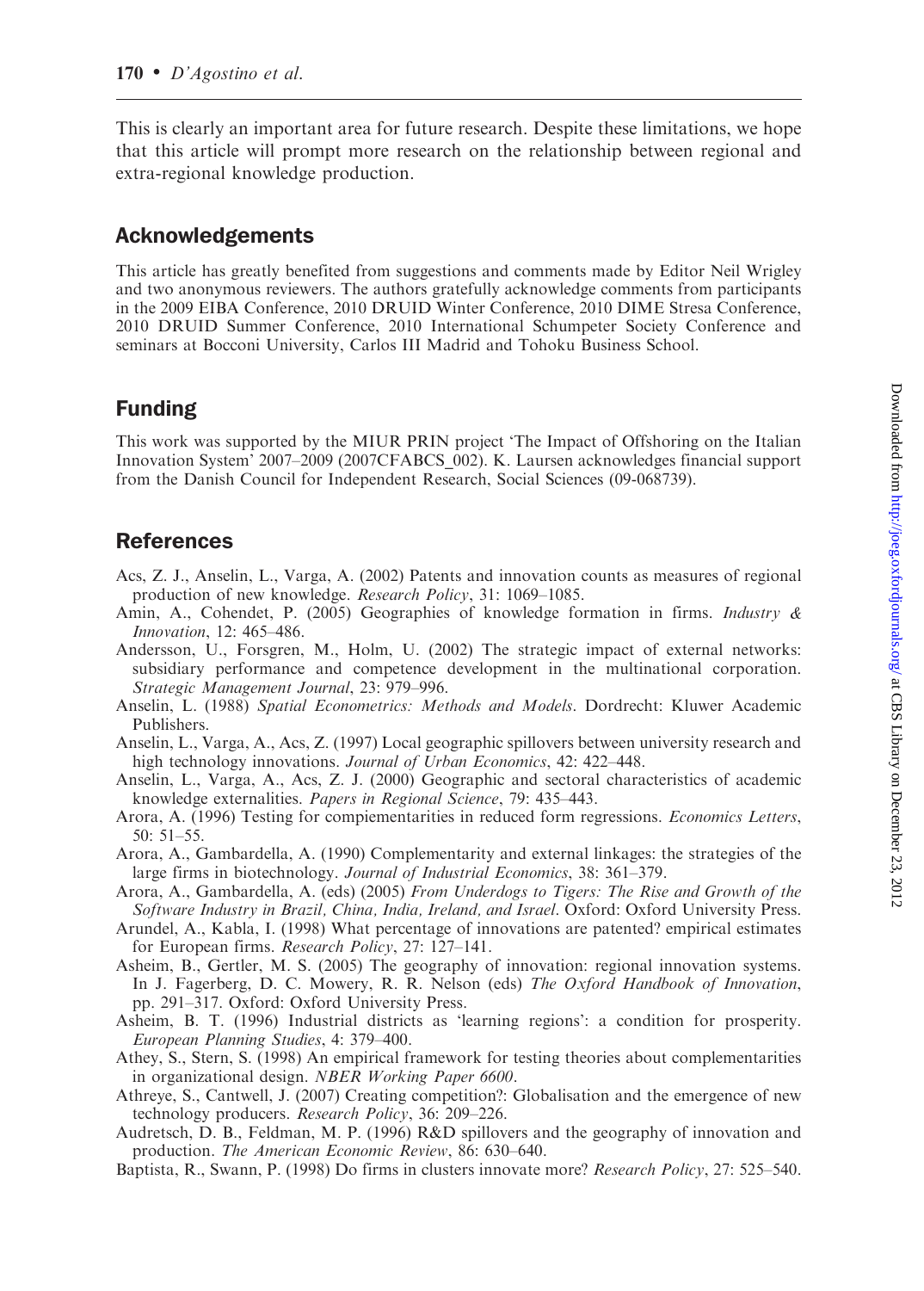<span id="page-25-0"></span>This is clearly an important area for future research. Despite these limitations, we hope that this article will prompt more research on the relationship between regional and extra-regional knowledge production.

### Acknowledgements

This article has greatly benefited from suggestions and comments made by Editor Neil Wrigley and two anonymous reviewers. The authors gratefully acknowledge comments from participants in the 2009 EIBA Conference, 2010 DRUID Winter Conference, 2010 DIME Stresa Conference, 2010 DRUID Summer Conference, 2010 International Schumpeter Society Conference and seminars at Bocconi University, Carlos III Madrid and Tohoku Business School.

# Funding

This work was supported by the MIUR PRIN project 'The Impact of Offshoring on the Italian Innovation System' 2007–2009 (2007CFABCS\_002). K. Laursen acknowledges financial support from the Danish Council for Independent Research, Social Sciences (09-068739).

# **References**

- Acs, Z. J., Anselin, L., Varga, A. (2002) Patents and innovation counts as measures of regional production of new knowledge. Research Policy, 31: 1069–1085.
- Amin, A., Cohendet, P. (2005) Geographies of knowledge formation in firms. Industry & Innovation, 12: 465–486.
- Andersson, U., Forsgren, M., Holm, U. (2002) The strategic impact of external networks: subsidiary performance and competence development in the multinational corporation. Strategic Management Journal, 23: 979–996.
- Anselin, L. (1988) Spatial Econometrics: Methods and Models. Dordrecht: Kluwer Academic Publishers.
- Anselin, L., Varga, A., Acs, Z. (1997) Local geographic spillovers between university research and high technology innovations. Journal of Urban Economics, 42: 422–448.
- Anselin, L., Varga, A., Acs, Z. J. (2000) Geographic and sectoral characteristics of academic knowledge externalities. Papers in Regional Science, 79: 435–443.
- Arora, A. (1996) Testing for compiementarities in reduced form regressions. Economics Letters, 50: 51–55.
- Arora, A., Gambardella, A. (1990) Complementarity and external linkages: the strategies of the large firms in biotechnology. Journal of Industrial Economics, 38: 361–379.
- Arora, A., Gambardella, A. (eds) (2005) From Underdogs to Tigers: The Rise and Growth of the Software Industry in Brazil, China, India, Ireland, and Israel. Oxford: Oxford University Press.
- Arundel, A., Kabla, I. (1998) What percentage of innovations are patented? empirical estimates for European firms. Research Policy, 27: 127–141.
- Asheim, B., Gertler, M. S. (2005) The geography of innovation: regional innovation systems. In J. Fagerberg, D. C. Mowery, R. R. Nelson (eds) The Oxford Handbook of Innovation, pp. 291–317. Oxford: Oxford University Press.
- Asheim, B. T. (1996) Industrial districts as 'learning regions': a condition for prosperity. European Planning Studies, 4: 379–400.
- Athey, S., Stern, S. (1998) An empirical framework for testing theories about complementarities in organizational design. NBER Working Paper 6600.
- Athreye, S., Cantwell, J. (2007) Creating competition?: Globalisation and the emergence of new technology producers. Research Policy, 36: 209–226.
- Audretsch, D. B., Feldman, M. P. (1996) R&D spillovers and the geography of innovation and production. The American Economic Review, 86: 630–640.
- Baptista, R., Swann, P. (1998) Do firms in clusters innovate more? Research Policy, 27: 525–540.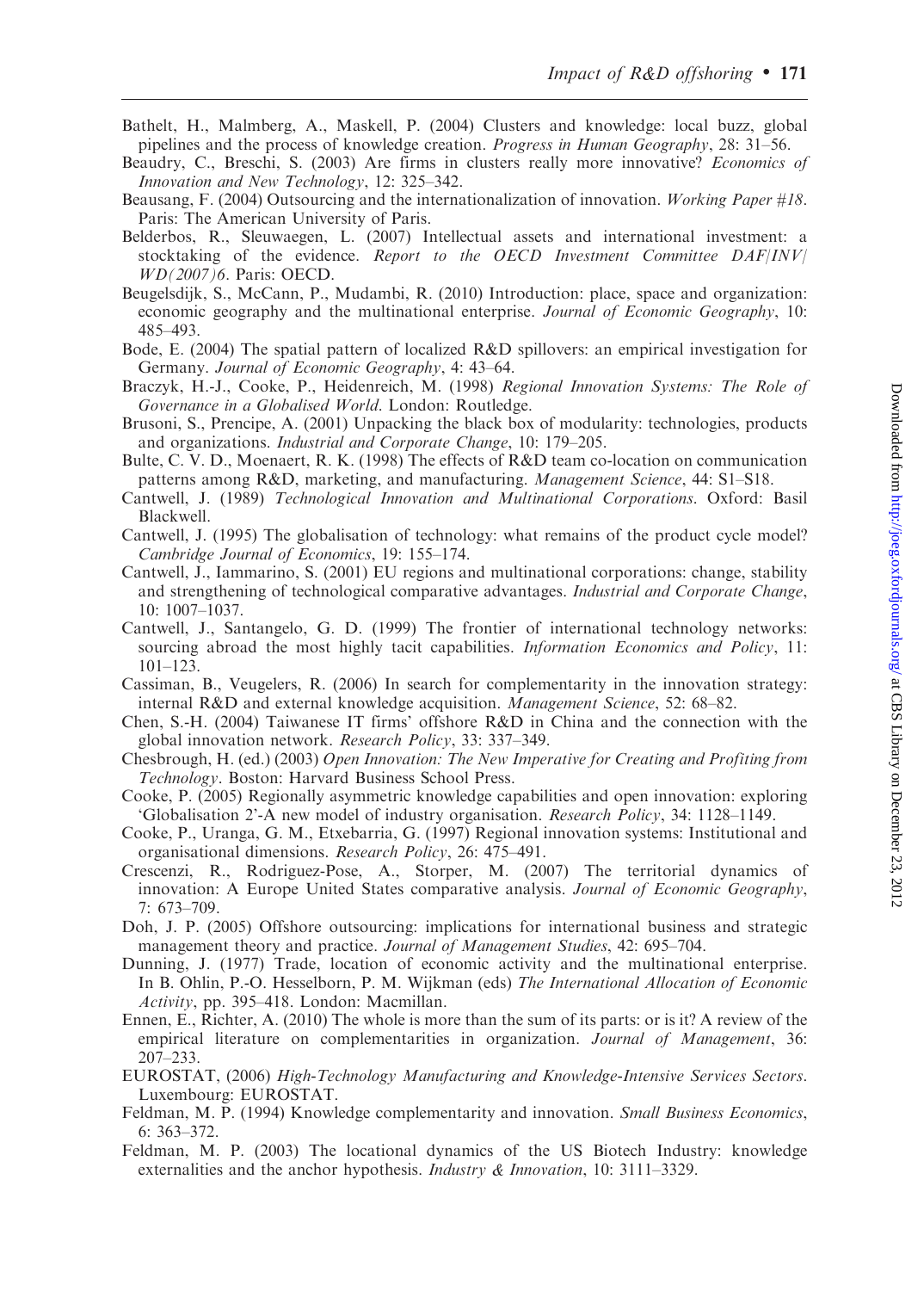- <span id="page-26-0"></span>Bathelt, H., Malmberg, A., Maskell, P. (2004) Clusters and knowledge: local buzz, global pipelines and the process of knowledge creation. Progress in Human Geography, 28: 31–56.
- Beaudry, C., Breschi, S. (2003) Are firms in clusters really more innovative? Economics of Innovation and New Technology, 12: 325–342.
- Beausang, F. (2004) Outsourcing and the internationalization of innovation. Working Paper #18. Paris: The American University of Paris.
- Belderbos, R., Sleuwaegen, L. (2007) Intellectual assets and international investment: a stocktaking of the evidence. Report to the OECD Investment Committee DAF/INV/ WD(2007)6. Paris: OECD.
- Beugelsdijk, S., McCann, P., Mudambi, R. (2010) Introduction: place, space and organization: economic geography and the multinational enterprise. Journal of Economic Geography, 10: 485–493.
- Bode, E. (2004) The spatial pattern of localized R&D spillovers: an empirical investigation for Germany. Journal of Economic Geography, 4: 43–64.
- Braczyk, H.-J., Cooke, P., Heidenreich, M. (1998) Regional Innovation Systems: The Role of Governance in a Globalised World. London: Routledge.
- Brusoni, S., Prencipe, A. (2001) Unpacking the black box of modularity: technologies, products and organizations. Industrial and Corporate Change, 10: 179–205.
- Bulte, C. V. D., Moenaert, R. K. (1998) The effects of R&D team co-location on communication patterns among R&D, marketing, and manufacturing. Management Science, 44: S1–S18.
- Cantwell, J. (1989) Technological Innovation and Multinational Corporations. Oxford: Basil Blackwell.
- Cantwell, J. (1995) The globalisation of technology: what remains of the product cycle model? Cambridge Journal of Economics, 19: 155–174.
- Cantwell, J., Iammarino, S. (2001) EU regions and multinational corporations: change, stability and strengthening of technological comparative advantages. Industrial and Corporate Change, 10: 1007–1037.
- Cantwell, J., Santangelo, G. D. (1999) The frontier of international technology networks: sourcing abroad the most highly tacit capabilities. *Information Economics and Policy*, 11: 101–123.
- Cassiman, B., Veugelers, R. (2006) In search for complementarity in the innovation strategy: internal R&D and external knowledge acquisition. *Management Science*, 52: 68–82.
- Chen, S.-H. (2004) Taiwanese IT firms' offshore R&D in China and the connection with the global innovation network. Research Policy, 33: 337–349.
- Chesbrough, H. (ed.) (2003) Open Innovation: The New Imperative for Creating and Profiting from Technology. Boston: Harvard Business School Press.
- Cooke, P. (2005) Regionally asymmetric knowledge capabilities and open innovation: exploring 'Globalisation 2'-A new model of industry organisation. Research Policy, 34: 1128–1149.
- Cooke, P., Uranga, G. M., Etxebarria, G. (1997) Regional innovation systems: Institutional and organisational dimensions. Research Policy, 26: 475–491.
- Crescenzi, R., Rodriguez-Pose, A., Storper, M. (2007) The territorial dynamics of innovation: A Europe United States comparative analysis. Journal of Economic Geography, 7: 673–709.
- Doh, J. P. (2005) Offshore outsourcing: implications for international business and strategic management theory and practice. Journal of Management Studies, 42: 695–704.
- Dunning, J. (1977) Trade, location of economic activity and the multinational enterprise. In B. Ohlin, P.-O. Hesselborn, P. M. Wijkman (eds) The International Allocation of Economic Activity, pp. 395–418. London: Macmillan.
- Ennen, E., Richter, A. (2010) The whole is more than the sum of its parts: or is it? A review of the empirical literature on complementarities in organization. Journal of Management, 36: 207–233.
- EUROSTAT, (2006) High-Technology Manufacturing and Knowledge-Intensive Services Sectors. Luxembourg: EUROSTAT.
- Feldman, M. P. (1994) Knowledge complementarity and innovation. *Small Business Economics*, 6: 363–372.
- Feldman, M. P. (2003) The locational dynamics of the US Biotech Industry: knowledge externalities and the anchor hypothesis. Industry & Innovation, 10: 3111–3329.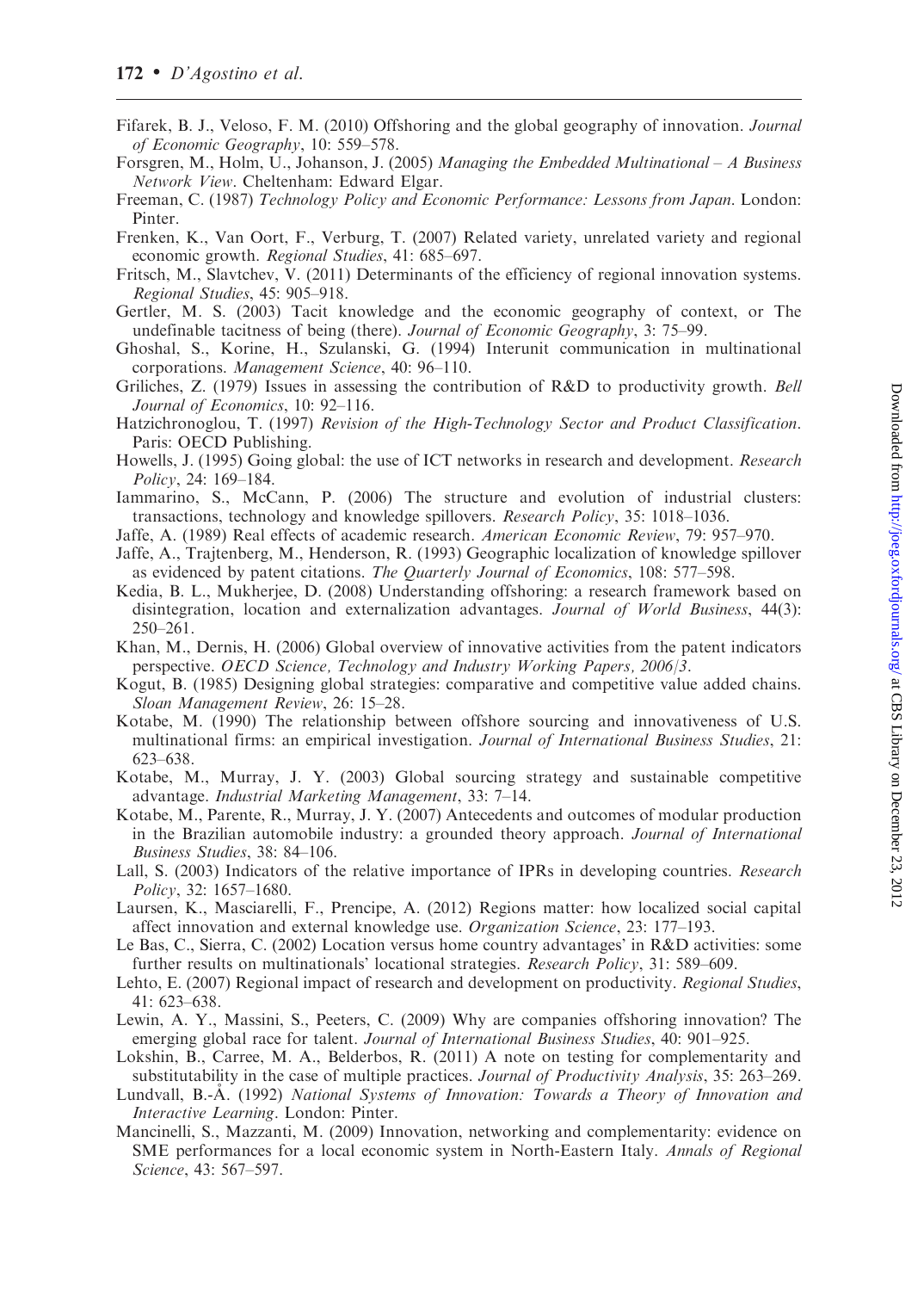- <span id="page-27-0"></span>Fifarek, B. J., Veloso, F. M. (2010) Offshoring and the global geography of innovation. Journal of Economic Geography, 10: 559–578.
- Forsgren, M., Holm, U., Johanson, J. (2005) Managing the Embedded Multinational A Business Network View. Cheltenham: Edward Elgar.
- Freeman, C. (1987) Technology Policy and Economic Performance: Lessons from Japan. London: Pinter.
- Frenken, K., Van Oort, F., Verburg, T. (2007) Related variety, unrelated variety and regional economic growth. Regional Studies, 41: 685–697.
- Fritsch, M., Slavtchev, V. (2011) Determinants of the efficiency of regional innovation systems. Regional Studies, 45: 905–918.
- Gertler, M. S. (2003) Tacit knowledge and the economic geography of context, or The undefinable tacitness of being (there). Journal of Economic Geography, 3: 75–99.
- Ghoshal, S., Korine, H., Szulanski, G. (1994) Interunit communication in multinational corporations. Management Science, 40: 96–110.
- Griliches, Z. (1979) Issues in assessing the contribution of R&D to productivity growth. Bell Journal of Economics, 10: 92–116.
- Hatzichronoglou, T. (1997) Revision of the High-Technology Sector and Product Classification. Paris: OECD Publishing.
- Howells, J. (1995) Going global: the use of ICT networks in research and development. Research Policy, 24: 169–184.
- Iammarino, S., McCann, P. (2006) The structure and evolution of industrial clusters: transactions, technology and knowledge spillovers. Research Policy, 35: 1018–1036.
- Jaffe, A. (1989) Real effects of academic research. American Economic Review, 79: 957–970.
- Jaffe, A., Trajtenberg, M., Henderson, R. (1993) Geographic localization of knowledge spillover as evidenced by patent citations. The Quarterly Journal of Economics, 108: 577–598.
- Kedia, B. L., Mukherjee, D. (2008) Understanding offshoring: a research framework based on disintegration, location and externalization advantages. Journal of World Business, 44(3): 250–261.
- Khan, M., Dernis, H. (2006) Global overview of innovative activities from the patent indicators perspective. OECD Science, Technology and Industry Working Papers, 2006/3.
- Kogut, B. (1985) Designing global strategies: comparative and competitive value added chains. Sloan Management Review, 26: 15–28.
- Kotabe, M. (1990) The relationship between offshore sourcing and innovativeness of U.S. multinational firms: an empirical investigation. Journal of International Business Studies, 21: 623–638.
- Kotabe, M., Murray, J. Y. (2003) Global sourcing strategy and sustainable competitive advantage. Industrial Marketing Management, 33: 7–14.
- Kotabe, M., Parente, R., Murray, J. Y. (2007) Antecedents and outcomes of modular production in the Brazilian automobile industry: a grounded theory approach. Journal of International Business Studies, 38: 84–106.
- Lall, S. (2003) Indicators of the relative importance of IPRs in developing countries. Research Policy, 32: 1657–1680.
- Laursen, K., Masciarelli, F., Prencipe, A. (2012) Regions matter: how localized social capital affect innovation and external knowledge use. Organization Science, 23: 177–193.
- Le Bas, C., Sierra, C. (2002) Location versus home country advantages' in R&D activities: some further results on multinationals' locational strategies. Research Policy, 31: 589–609.
- Lehto, E. (2007) Regional impact of research and development on productivity. Regional Studies, 41: 623–638.
- Lewin, A. Y., Massini, S., Peeters, C. (2009) Why are companies offshoring innovation? The emerging global race for talent. Journal of International Business Studies, 40: 901–925.
- Lokshin, B., Carree, M. A., Belderbos, R. (2011) A note on testing for complementarity and substitutability in the case of multiple practices. Journal of Productivity Analysis, 35: 263–269.
- Lundvall, B.-Å. (1992) National Systems of Innovation: Towards a Theory of Innovation and Interactive Learning. London: Pinter.
- Mancinelli, S., Mazzanti, M. (2009) Innovation, networking and complementarity: evidence on SME performances for a local economic system in North-Eastern Italy. Annals of Regional Science, 43: 567–597.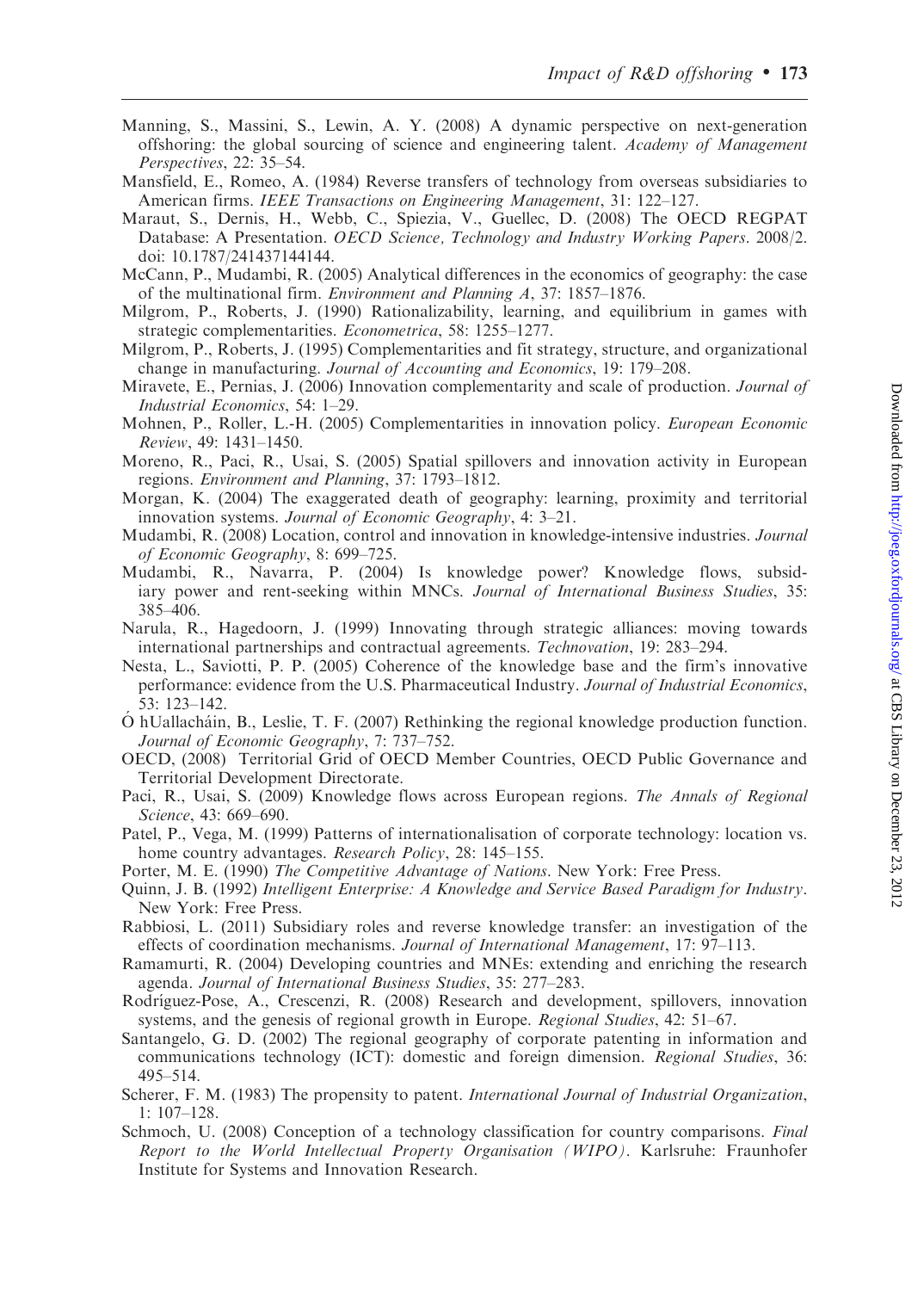- <span id="page-28-0"></span>Manning, S., Massini, S., Lewin, A. Y. (2008) A dynamic perspective on next-generation offshoring: the global sourcing of science and engineering talent. Academy of Management Perspectives, 22: 35–54.
- Mansfield, E., Romeo, A. (1984) Reverse transfers of technology from overseas subsidiaries to American firms. IEEE Transactions on Engineering Management, 31: 122–127.
- Maraut, S., Dernis, H., Webb, C., Spiezia, V., Guellec, D. (2008) The OECD REGPAT Database: A Presentation. OECD Science, Technology and Industry Working Papers. 2008/2. doi: 10.1787/241437144144.
- McCann, P., Mudambi, R. (2005) Analytical differences in the economics of geography: the case of the multinational firm. Environment and Planning A, 37: 1857–1876.
- Milgrom, P., Roberts, J. (1990) Rationalizability, learning, and equilibrium in games with strategic complementarities. Econometrica, 58: 1255–1277.
- Milgrom, P., Roberts, J. (1995) Complementarities and fit strategy, structure, and organizational change in manufacturing. Journal of Accounting and Economics, 19: 179–208.
- Miravete, E., Pernias, J. (2006) Innovation complementarity and scale of production. Journal of Industrial Economics, 54: 1–29.
- Mohnen, P., Roller, L.-H. (2005) Complementarities in innovation policy. European Economic Review, 49: 1431–1450.
- Moreno, R., Paci, R., Usai, S. (2005) Spatial spillovers and innovation activity in European regions. Environment and Planning, 37: 1793–1812.
- Morgan, K. (2004) The exaggerated death of geography: learning, proximity and territorial innovation systems. Journal of Economic Geography, 4: 3–21.
- Mudambi, R. (2008) Location, control and innovation in knowledge-intensive industries. Journal of Economic Geography, 8: 699–725.
- Mudambi, R., Navarra, P. (2004) Is knowledge power? Knowledge flows, subsidiary power and rent-seeking within MNCs. Journal of International Business Studies, 35: 385–406.
- Narula, R., Hagedoorn, J. (1999) Innovating through strategic alliances: moving towards international partnerships and contractual agreements. Technovation, 19: 283–294.
- Nesta, L., Saviotti, P. P. (2005) Coherence of the knowledge base and the firm's innovative performance: evidence from the U.S. Pharmaceutical Industry. Journal of Industrial Economics, 53: 123–142.
- O´ hUallacha´in, B., Leslie, T. F. (2007) Rethinking the regional knowledge production function. Journal of Economic Geography, 7: 737–752.
- OECD, (2008) Territorial Grid of OECD Member Countries, OECD Public Governance and Territorial Development Directorate.
- Paci, R., Usai, S. (2009) Knowledge flows across European regions. The Annals of Regional Science, 43: 669–690.
- Patel, P., Vega, M. (1999) Patterns of internationalisation of corporate technology: location vs. home country advantages. *Research Policy*, 28: 145–155.
- Porter, M. E. (1990) The Competitive Advantage of Nations. New York: Free Press.
- Quinn, J. B. (1992) Intelligent Enterprise: A Knowledge and Service Based Paradigm for Industry. New York: Free Press.
- Rabbiosi, L. (2011) Subsidiary roles and reverse knowledge transfer: an investigation of the effects of coordination mechanisms. Journal of International Management, 17: 97–113.
- Ramamurti, R. (2004) Developing countries and MNEs: extending and enriching the research agenda. Journal of International Business Studies, 35: 277–283.
- Rodríguez-Pose, A., Crescenzi, R. (2008) Research and development, spillovers, innovation systems, and the genesis of regional growth in Europe. Regional Studies, 42: 51–67.
- Santangelo, G. D. (2002) The regional geography of corporate patenting in information and communications technology (ICT): domestic and foreign dimension. Regional Studies, 36: 495–514.
- Scherer, F. M. (1983) The propensity to patent. *International Journal of Industrial Organization*, 1: 107–128.
- Schmoch, U. (2008) Conception of a technology classification for country comparisons. Final Report to the World Intellectual Property Organisation (WIPO). Karlsruhe: Fraunhofer Institute for Systems and Innovation Research.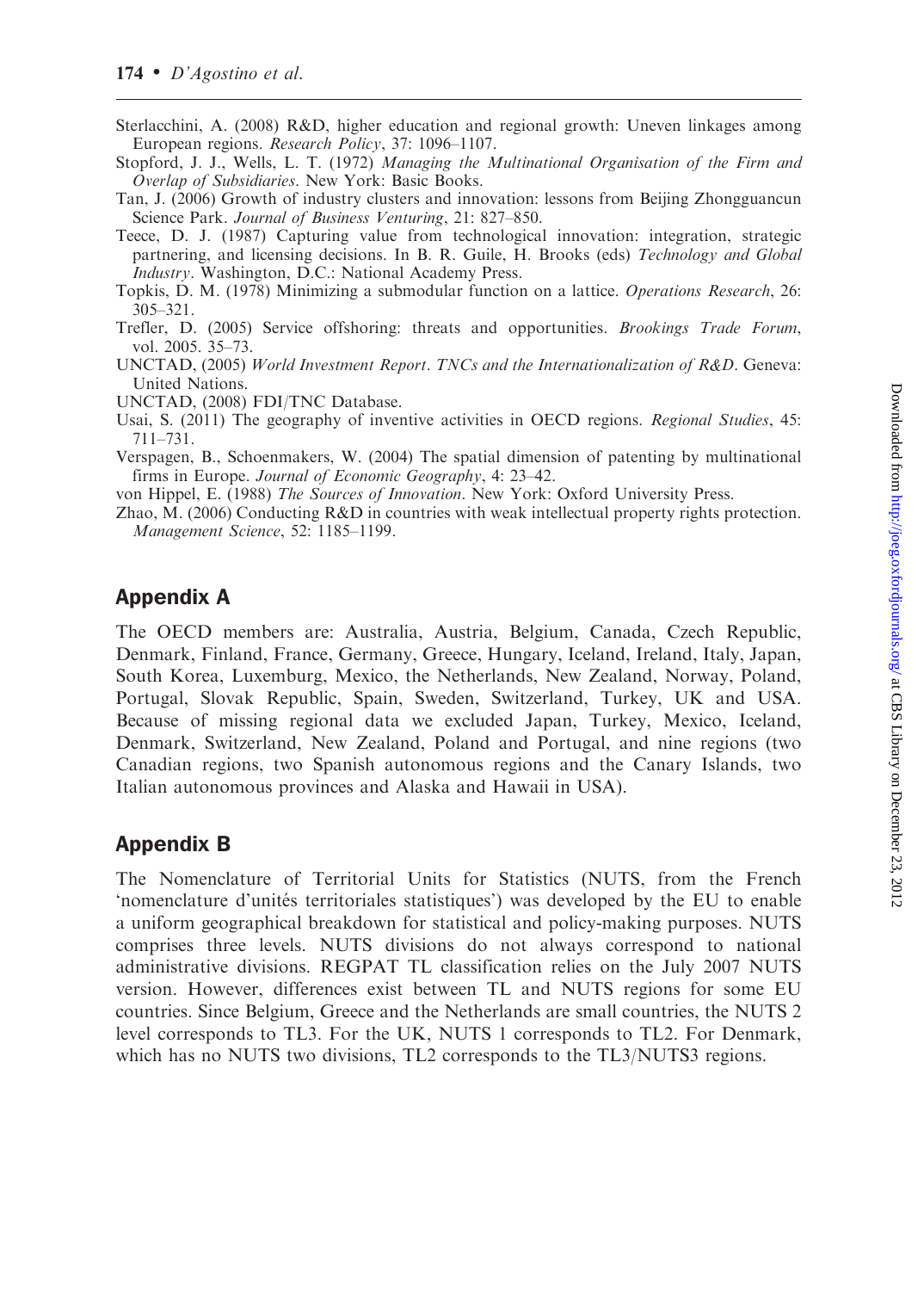- <span id="page-29-0"></span>Sterlacchini, A. (2008) R&D, higher education and regional growth: Uneven linkages among European regions. Research Policy, 37: 1096–1107.
- Stopford, J. J., Wells, L. T. (1972) Managing the Multinational Organisation of the Firm and Overlap of Subsidiaries. New York: Basic Books.
- Tan, J. (2006) Growth of industry clusters and innovation: lessons from Beijing Zhongguancun Science Park. Journal of Business Venturing, 21: 827–850.
- Teece, D. J. (1987) Capturing value from technological innovation: integration, strategic partnering, and licensing decisions. In B. R. Guile, H. Brooks (eds) Technology and Global Industry. Washington, D.C.: National Academy Press.
- Topkis, D. M. (1978) Minimizing a submodular function on a lattice. Operations Research, 26: 305–321.
- Trefler, D. (2005) Service offshoring: threats and opportunities. Brookings Trade Forum, vol. 2005. 35–73.
- UNCTAD, (2005) World Investment Report. TNCs and the Internationalization of R&D. Geneva: United Nations.
- UNCTAD, (2008) FDI/TNC Database.
- Usai, S. (2011) The geography of inventive activities in OECD regions. Regional Studies, 45: 711–731.
- Verspagen, B., Schoenmakers, W. (2004) The spatial dimension of patenting by multinational firms in Europe. Journal of Economic Geography, 4: 23–42.
- von Hippel, E. (1988) The Sources of Innovation. New York: Oxford University Press.
- Zhao, M. (2006) Conducting R&D in countries with weak intellectual property rights protection. Management Science, 52: 1185–1199.

# Appendix A

The OECD members are: Australia, Austria, Belgium, Canada, Czech Republic, Denmark, Finland, France, Germany, Greece, Hungary, Iceland, Ireland, Italy, Japan, South Korea, Luxemburg, Mexico, the Netherlands, New Zealand, Norway, Poland, Portugal, Slovak Republic, Spain, Sweden, Switzerland, Turkey, UK and USA. Because of missing regional data we excluded Japan, Turkey, Mexico, Iceland, Denmark, Switzerland, New Zealand, Poland and Portugal, and nine regions (two Canadian regions, two Spanish autonomous regions and the Canary Islands, two Italian autonomous provinces and Alaska and Hawaii in USA).

### Appendix B

The Nomenclature of Territorial Units for Statistics (NUTS, from the French 'nomenclature d'unités territoriales statistiques') was developed by the EU to enable a uniform geographical breakdown for statistical and policy-making purposes. NUTS comprises three levels. NUTS divisions do not always correspond to national administrative divisions. REGPAT TL classification relies on the July 2007 NUTS version. However, differences exist between TL and NUTS regions for some EU countries. Since Belgium, Greece and the Netherlands are small countries, the NUTS 2 level corresponds to TL3. For the UK, NUTS 1 corresponds to TL2. For Denmark, which has no NUTS two divisions, TL2 corresponds to the TL3/NUTS3 regions.